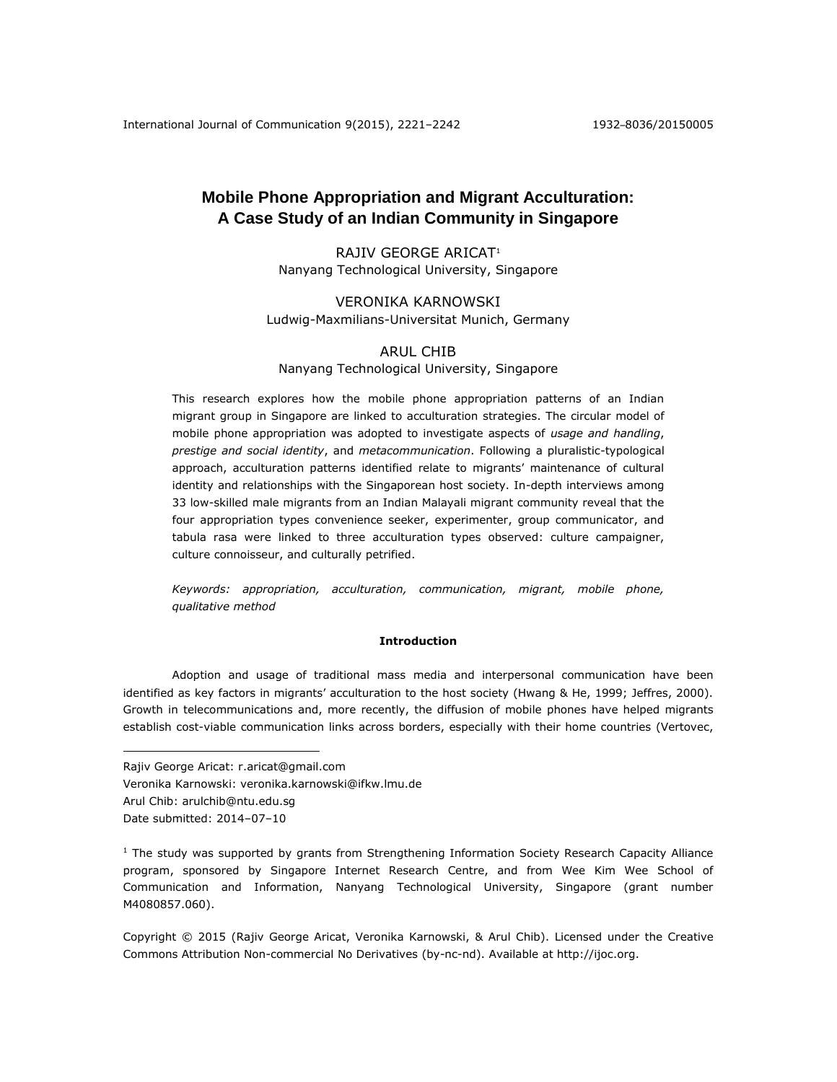# **Mobile Phone Appropriation and Migrant Acculturation: A Case Study of an Indian Community in Singapore**

RAJIV GEORGE ARICAT<sup>1</sup> Nanyang Technological University, Singapore

# VERONIKA KARNOWSKI Ludwig-Maxmilians-Universitat Munich, Germany

# ARUL CHIB

# Nanyang Technological University, Singapore

This research explores how the mobile phone appropriation patterns of an Indian migrant group in Singapore are linked to acculturation strategies. The circular model of mobile phone appropriation was adopted to investigate aspects of *usage and handling*, *prestige and social identity*, and *metacommunication*. Following a pluralistic-typological approach, acculturation patterns identified relate to migrants' maintenance of cultural identity and relationships with the Singaporean host society. In-depth interviews among 33 low-skilled male migrants from an Indian Malayali migrant community reveal that the four appropriation types convenience seeker, experimenter, group communicator, and tabula rasa were linked to three acculturation types observed: culture campaigner, culture connoisseur, and culturally petrified.

*Keywords: appropriation, acculturation, communication, migrant, mobile phone, qualitative method*

#### **Introduction**

Adoption and usage of traditional mass media and interpersonal communication have been identified as key factors in migrants' acculturation to the host society (Hwang & He, 1999; Jeffres, 2000). Growth in telecommunications and, more recently, the diffusion of mobile phones have helped migrants establish cost-viable communication links across borders, especially with their home countries (Vertovec,

Rajiv George Aricat: r.aricat@gmail.com

Veronika Karnowski: veronika.karnowski@ifkw.lmu.de

Arul Chib: arulchib@ntu.edu.sg

Date submitted: 2014–07–10

 $\overline{a}$ 

 $<sup>1</sup>$  The study was supported by grants from Strengthening Information Society Research Capacity Alliance</sup> program, sponsored by Singapore Internet Research Centre, and from Wee Kim Wee School of Communication and Information, Nanyang Technological University, Singapore (grant number M4080857.060).

Copyright © 2015 (Rajiv George Aricat, Veronika Karnowski, & Arul Chib). Licensed under the Creative Commons Attribution Non-commercial No Derivatives (by-nc-nd). Available at [http://ijoc.org.](http://ijoc.org/)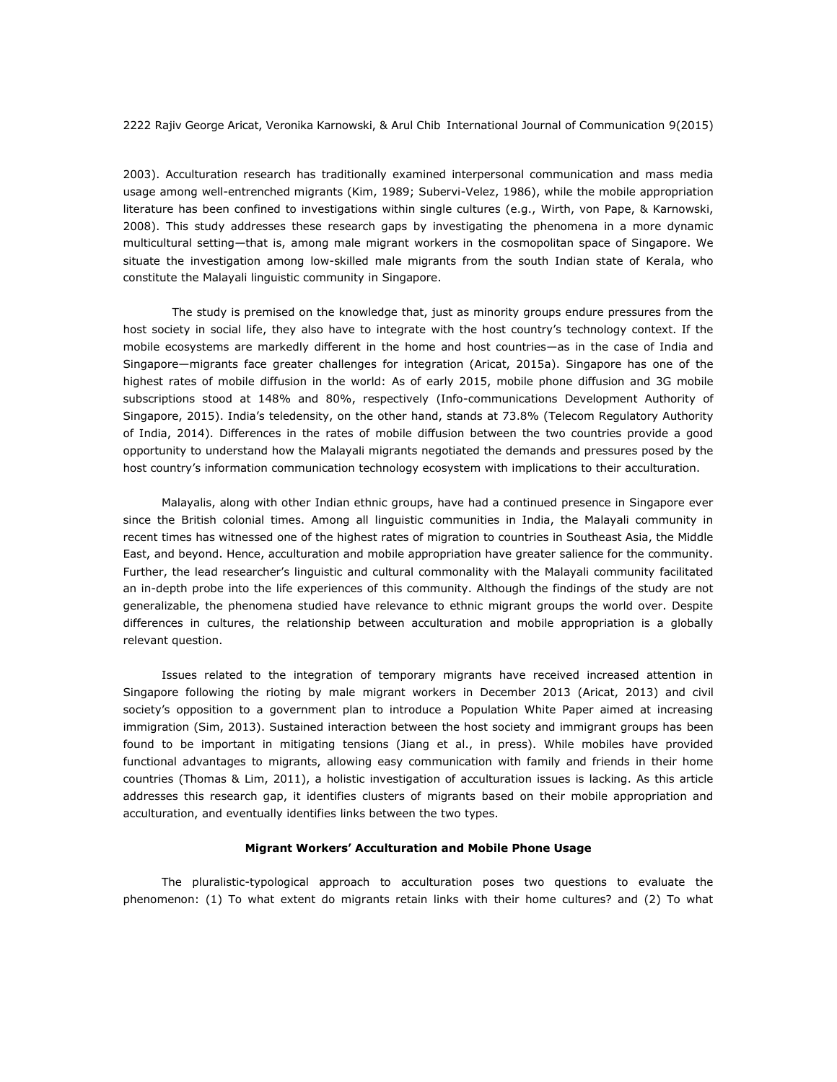2003). Acculturation research has traditionally examined interpersonal communication and mass media usage among well-entrenched migrants (Kim, 1989; Subervi-Velez, 1986), while the mobile appropriation literature has been confined to investigations within single cultures (e.g., Wirth, von Pape, & Karnowski, 2008). This study addresses these research gaps by investigating the phenomena in a more dynamic multicultural setting—that is, among male migrant workers in the cosmopolitan space of Singapore. We situate the investigation among low-skilled male migrants from the south Indian state of Kerala, who constitute the Malayali linguistic community in Singapore.

The study is premised on the knowledge that, just as minority groups endure pressures from the host society in social life, they also have to integrate with the host country's technology context. If the mobile ecosystems are markedly different in the home and host countries—as in the case of India and Singapore—migrants face greater challenges for integration (Aricat, 2015a). Singapore has one of the highest rates of mobile diffusion in the world: As of early 2015, mobile phone diffusion and 3G mobile subscriptions stood at 148% and 80%, respectively (Info-communications Development Authority of Singapore, 2015). India's teledensity, on the other hand, stands at 73.8% (Telecom Regulatory Authority of India, 2014). Differences in the rates of mobile diffusion between the two countries provide a good opportunity to understand how the Malayali migrants negotiated the demands and pressures posed by the host country's information communication technology ecosystem with implications to their acculturation.

Malayalis, along with other Indian ethnic groups, have had a continued presence in Singapore ever since the British colonial times. Among all linguistic communities in India, the Malayali community in recent times has witnessed one of the highest rates of migration to countries in Southeast Asia, the Middle East, and beyond. Hence, acculturation and mobile appropriation have greater salience for the community. Further, the lead researcher's linguistic and cultural commonality with the Malayali community facilitated an in-depth probe into the life experiences of this community. Although the findings of the study are not generalizable, the phenomena studied have relevance to ethnic migrant groups the world over. Despite differences in cultures, the relationship between acculturation and mobile appropriation is a globally relevant question.

Issues related to the integration of temporary migrants have received increased attention in Singapore following the rioting by male migrant workers in December 2013 (Aricat, 2013) and civil society's opposition to a government plan to introduce a Population White Paper aimed at increasing immigration (Sim, 2013). Sustained interaction between the host society and immigrant groups has been found to be important in mitigating tensions (Jiang et al., in press). While mobiles have provided functional advantages to migrants, allowing easy communication with family and friends in their home countries (Thomas & Lim, 2011), a holistic investigation of acculturation issues is lacking. As this article addresses this research gap, it identifies clusters of migrants based on their mobile appropriation and acculturation, and eventually identifies links between the two types.

### **Migrant Workers' Acculturation and Mobile Phone Usage**

The pluralistic-typological approach to acculturation poses two questions to evaluate the phenomenon: (1) To what extent do migrants retain links with their home cultures? and (2) To what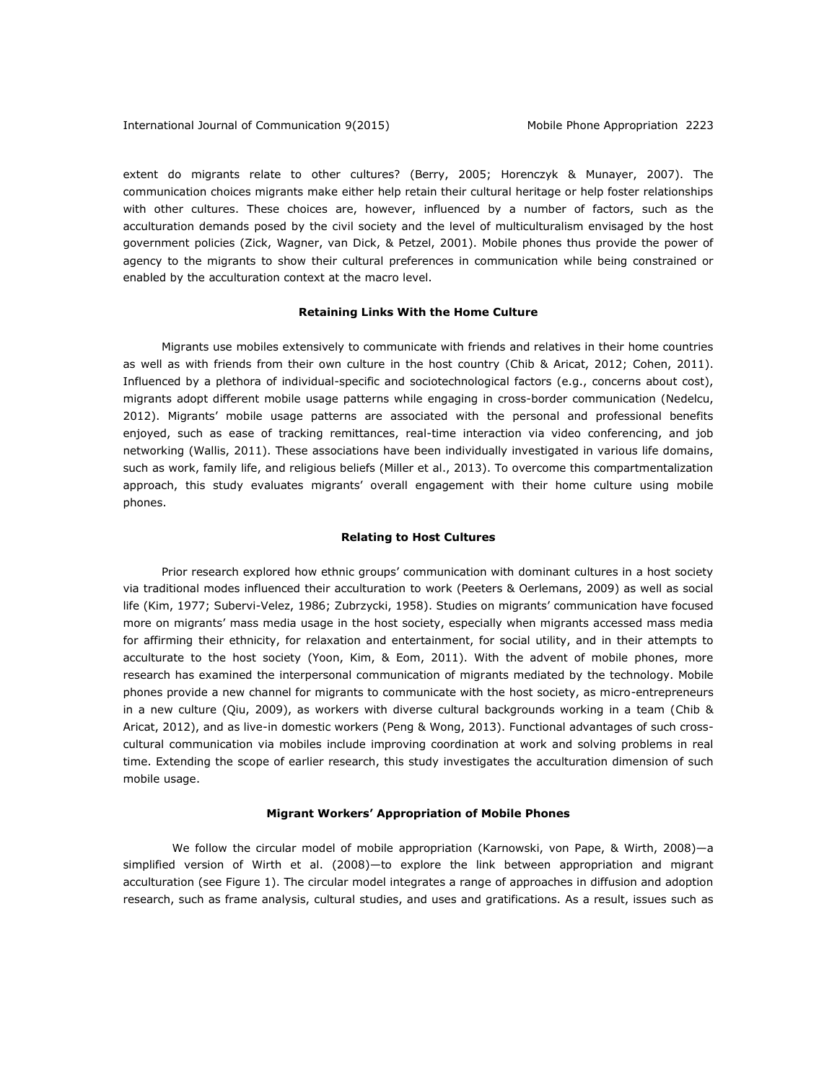extent do migrants relate to other cultures? (Berry, 2005; Horenczyk & Munayer, 2007). The communication choices migrants make either help retain their cultural heritage or help foster relationships with other cultures. These choices are, however, influenced by a number of factors, such as the acculturation demands posed by the civil society and the level of multiculturalism envisaged by the host government policies (Zick, Wagner, van Dick, & Petzel, 2001). Mobile phones thus provide the power of agency to the migrants to show their cultural preferences in communication while being constrained or enabled by the acculturation context at the macro level.

#### **Retaining Links With the Home Culture**

Migrants use mobiles extensively to communicate with friends and relatives in their home countries as well as with friends from their own culture in the host country (Chib & Aricat, 2012; Cohen, 2011). Influenced by a plethora of individual-specific and sociotechnological factors (e.g., concerns about cost), migrants adopt different mobile usage patterns while engaging in cross-border communication (Nedelcu, 2012). Migrants' mobile usage patterns are associated with the personal and professional benefits enjoyed, such as ease of tracking remittances, real-time interaction via video conferencing, and job networking (Wallis, 2011). These associations have been individually investigated in various life domains, such as work, family life, and religious beliefs (Miller et al., 2013). To overcome this compartmentalization approach, this study evaluates migrants' overall engagement with their home culture using mobile phones.

#### **Relating to Host Cultures**

Prior research explored how ethnic groups' communication with dominant cultures in a host society via traditional modes influenced their acculturation to work (Peeters & Oerlemans, 2009) as well as social life (Kim, 1977; Subervi-Velez, 1986; Zubrzycki, 1958). Studies on migrants' communication have focused more on migrants' mass media usage in the host society, especially when migrants accessed mass media for affirming their ethnicity, for relaxation and entertainment, for social utility, and in their attempts to acculturate to the host society (Yoon, Kim, & Eom, 2011). With the advent of mobile phones, more research has examined the interpersonal communication of migrants mediated by the technology. Mobile phones provide a new channel for migrants to communicate with the host society, as micro-entrepreneurs in a new culture (Qiu, 2009), as workers with diverse cultural backgrounds working in a team (Chib & Aricat, 2012), and as live-in domestic workers (Peng & Wong, 2013). Functional advantages of such crosscultural communication via mobiles include improving coordination at work and solving problems in real time. Extending the scope of earlier research, this study investigates the acculturation dimension of such mobile usage.

#### **Migrant Workers' Appropriation of Mobile Phones**

We follow the circular model of mobile appropriation (Karnowski, von Pape, & Wirth, 2008)—a simplified version of Wirth et al. (2008)—to explore the link between appropriation and migrant acculturation (see Figure 1). The circular model integrates a range of approaches in diffusion and adoption research, such as frame analysis, cultural studies, and uses and gratifications. As a result, issues such as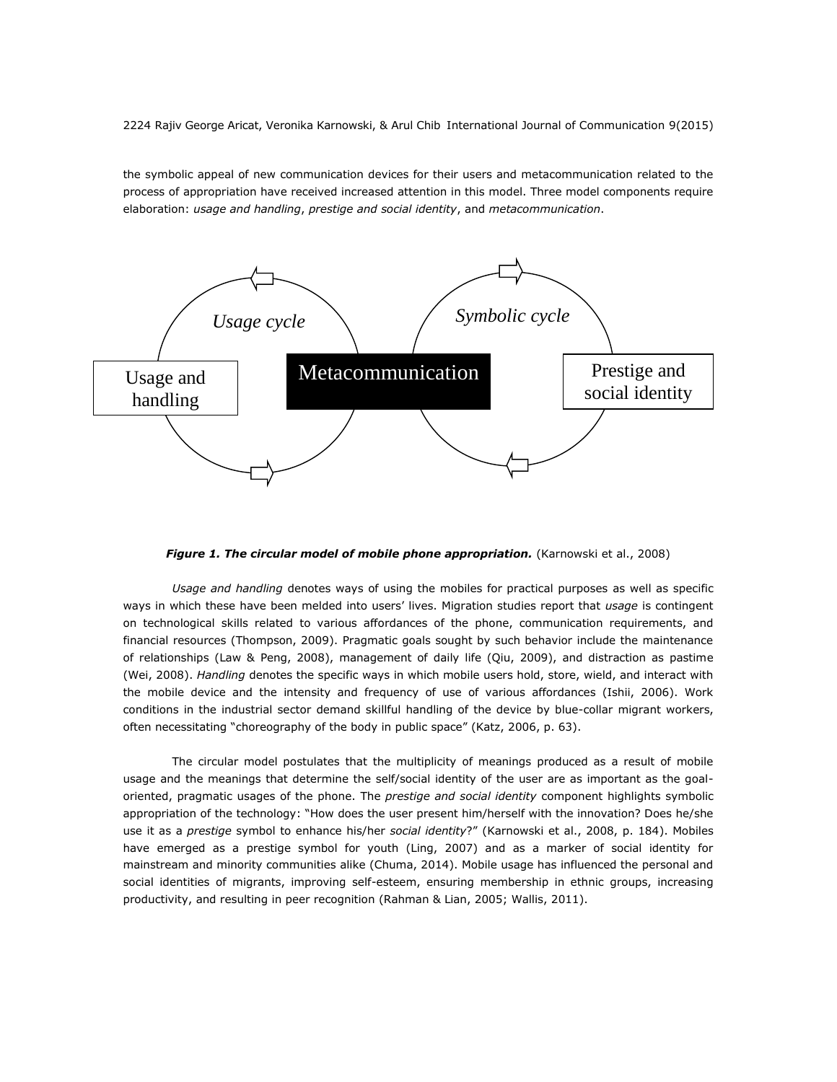the symbolic appeal of new communication devices for their users and metacommunication related to the process of appropriation have received increased attention in this model. Three model components require elaboration: *usage and handling*, *prestige and social identity*, and *metacommunication*.



*Figure 1. The circular model of mobile phone appropriation.* (Karnowski et al., 2008)

*Usage and handling* denotes ways of using the mobiles for practical purposes as well as specific ways in which these have been melded into users' lives. Migration studies report that *usage* is contingent on technological skills related to various affordances of the phone, communication requirements, and financial resources (Thompson, 2009). Pragmatic goals sought by such behavior include the maintenance of relationships (Law & Peng, 2008), management of daily life (Qiu, 2009), and distraction as pastime (Wei, 2008). *Handling* denotes the specific ways in which mobile users hold, store, wield, and interact with the mobile device and the intensity and frequency of use of various affordances (Ishii, 2006). Work conditions in the industrial sector demand skillful handling of the device by blue-collar migrant workers, often necessitating "choreography of the body in public space" (Katz, 2006, p. 63).

The circular model postulates that the multiplicity of meanings produced as a result of mobile usage and the meanings that determine the self/social identity of the user are as important as the goaloriented, pragmatic usages of the phone. The *prestige and social identity* component highlights symbolic appropriation of the technology: "How does the user present him/herself with the innovation? Does he/she use it as a *prestige* symbol to enhance his/her *social identity*?" (Karnowski et al., 2008, p. 184). Mobiles have emerged as a prestige symbol for youth (Ling, 2007) and as a marker of social identity for mainstream and minority communities alike (Chuma, 2014). Mobile usage has influenced the personal and social identities of migrants, improving self-esteem, ensuring membership in ethnic groups, increasing productivity, and resulting in peer recognition (Rahman & Lian, 2005; Wallis, 2011).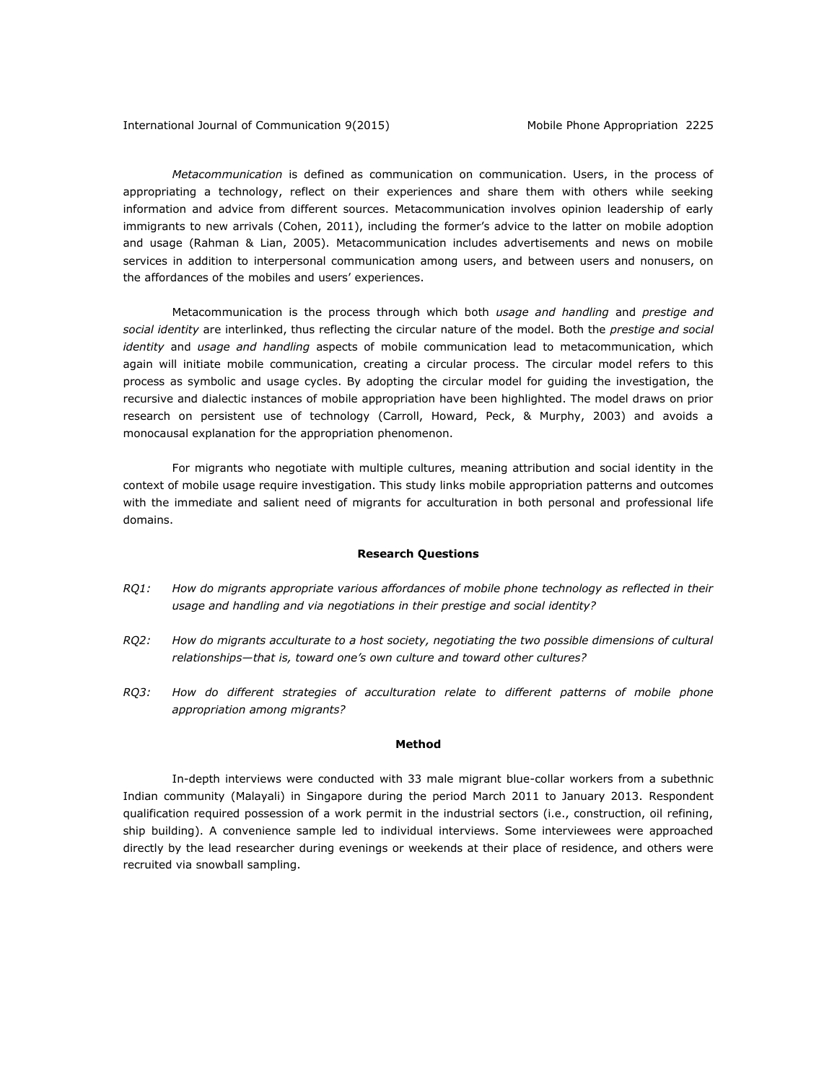*Metacommunication* is defined as communication on communication. Users, in the process of appropriating a technology, reflect on their experiences and share them with others while seeking information and advice from different sources. Metacommunication involves opinion leadership of early immigrants to new arrivals (Cohen, 2011), including the former's advice to the latter on mobile adoption and usage (Rahman & Lian, 2005). Metacommunication includes advertisements and news on mobile services in addition to interpersonal communication among users, and between users and nonusers, on the affordances of the mobiles and users' experiences.

Metacommunication is the process through which both *usage and handling* and *prestige and social identity* are interlinked, thus reflecting the circular nature of the model. Both the *prestige and social identity* and *usage and handling* aspects of mobile communication lead to metacommunication, which again will initiate mobile communication, creating a circular process. The circular model refers to this process as symbolic and usage cycles. By adopting the circular model for guiding the investigation, the recursive and dialectic instances of mobile appropriation have been highlighted. The model draws on prior research on persistent use of technology (Carroll, Howard, Peck, & Murphy, 2003) and avoids a monocausal explanation for the appropriation phenomenon.

For migrants who negotiate with multiple cultures, meaning attribution and social identity in the context of mobile usage require investigation. This study links mobile appropriation patterns and outcomes with the immediate and salient need of migrants for acculturation in both personal and professional life domains.

#### **Research Questions**

- *RQ1: How do migrants appropriate various affordances of mobile phone technology as reflected in their usage and handling and via negotiations in their prestige and social identity?*
- *RQ2: How do migrants acculturate to a host society, negotiating the two possible dimensions of cultural relationships—that is, toward one's own culture and toward other cultures?*
- *RQ3: How do different strategies of acculturation relate to different patterns of mobile phone appropriation among migrants?*

### **Method**

In-depth interviews were conducted with 33 male migrant blue-collar workers from a subethnic Indian community (Malayali) in Singapore during the period March 2011 to January 2013. Respondent qualification required possession of a work permit in the industrial sectors (i.e., construction, oil refining, ship building). A convenience sample led to individual interviews. Some interviewees were approached directly by the lead researcher during evenings or weekends at their place of residence, and others were recruited via snowball sampling.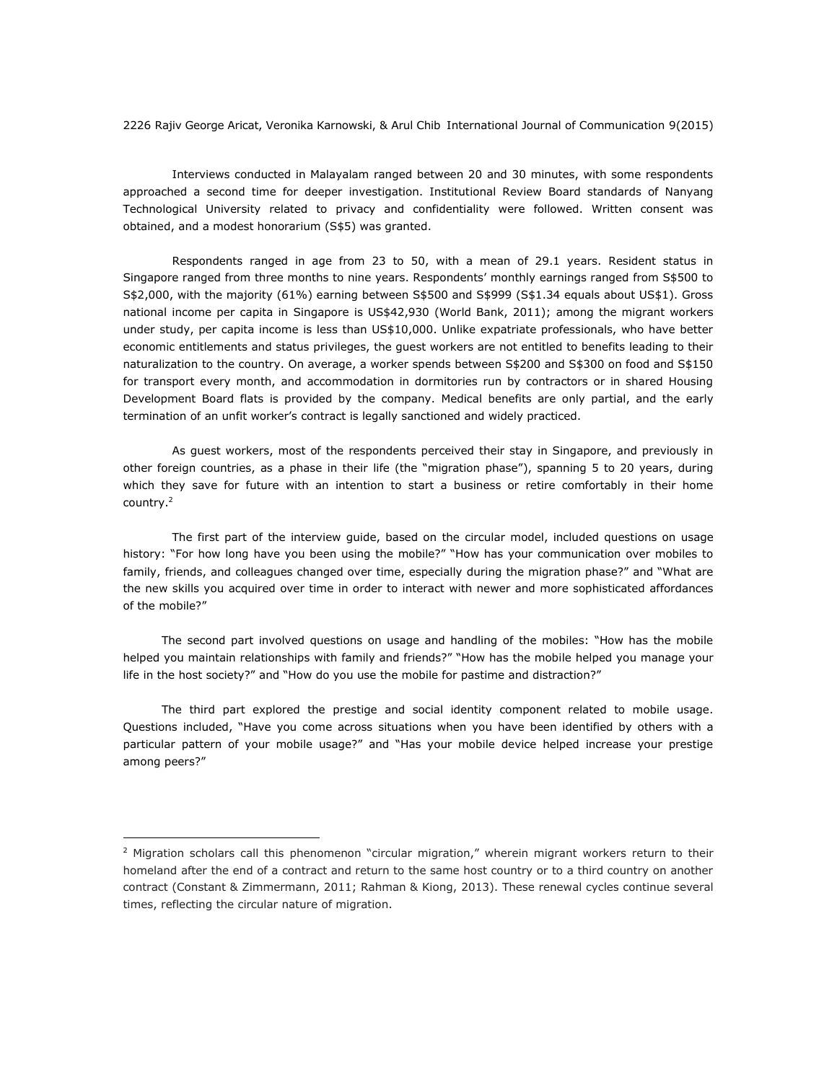Interviews conducted in Malayalam ranged between 20 and 30 minutes, with some respondents approached a second time for deeper investigation. Institutional Review Board standards of Nanyang Technological University related to privacy and confidentiality were followed. Written consent was obtained, and a modest honorarium (S\$5) was granted.

Respondents ranged in age from 23 to 50, with a mean of 29.1 years. Resident status in Singapore ranged from three months to nine years. Respondents' monthly earnings ranged from S\$500 to S\$2,000, with the majority (61%) earning between S\$500 and S\$999 (S\$1.34 equals about US\$1). Gross national income per capita in Singapore is US\$42,930 (World Bank, 2011); among the migrant workers under study, per capita income is less than US\$10,000. Unlike expatriate professionals, who have better economic entitlements and status privileges, the guest workers are not entitled to benefits leading to their naturalization to the country. On average, a worker spends between S\$200 and S\$300 on food and S\$150 for transport every month, and accommodation in dormitories run by contractors or in shared Housing Development Board flats is provided by the company. Medical benefits are only partial, and the early termination of an unfit worker's contract is legally sanctioned and widely practiced.

As guest workers, most of the respondents perceived their stay in Singapore, and previously in other foreign countries, as a phase in their life (the "migration phase"), spanning 5 to 20 years, during which they save for future with an intention to start a business or retire comfortably in their home country.<sup>2</sup>

The first part of the interview guide, based on the circular model, included questions on usage history: "For how long have you been using the mobile?" "How has your communication over mobiles to family, friends, and colleagues changed over time, especially during the migration phase?" and "What are the new skills you acquired over time in order to interact with newer and more sophisticated affordances of the mobile?"

The second part involved questions on usage and handling of the mobiles: "How has the mobile helped you maintain relationships with family and friends?" "How has the mobile helped you manage your life in the host society?" and "How do you use the mobile for pastime and distraction?"

The third part explored the prestige and social identity component related to mobile usage. Questions included, "Have you come across situations when you have been identified by others with a particular pattern of your mobile usage?" and "Has your mobile device helped increase your prestige among peers?"

 $\overline{a}$ 

 $2$  Migration scholars call this phenomenon "circular migration," wherein migrant workers return to their homeland after the end of a contract and return to the same host country or to a third country on another contract (Constant & Zimmermann, 2011; Rahman & Kiong, 2013). These renewal cycles continue several times, reflecting the circular nature of migration.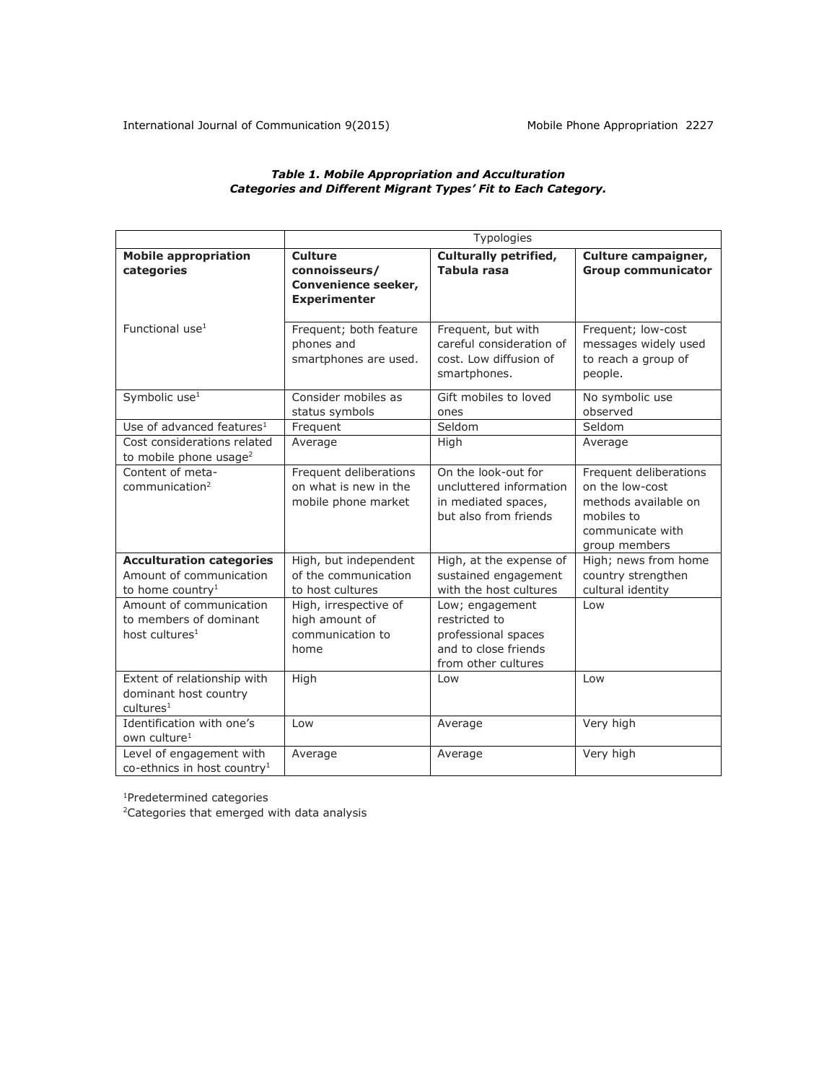## *Table 1. Mobile Appropriation and Acculturation Categories and Different Migrant Types' Fit to Each Category.*

|                                                                                            | Typologies                                                                    |                                                                                                        |                                                                                                                      |
|--------------------------------------------------------------------------------------------|-------------------------------------------------------------------------------|--------------------------------------------------------------------------------------------------------|----------------------------------------------------------------------------------------------------------------------|
| <b>Mobile appropriation</b><br>categories                                                  | <b>Culture</b><br>connoisseurs/<br>Convenience seeker,<br><b>Experimenter</b> | <b>Culturally petrified,</b><br><b>Tabula rasa</b>                                                     | Culture campaigner,<br><b>Group communicator</b>                                                                     |
| Functional use $1$                                                                         | Frequent; both feature<br>phones and<br>smartphones are used.                 | Frequent, but with<br>careful consideration of<br>cost. Low diffusion of<br>smartphones.               | Frequent; low-cost<br>messages widely used<br>to reach a group of<br>people.                                         |
| Symbolic use <sup>1</sup>                                                                  | Consider mobiles as<br>status symbols                                         | Gift mobiles to loved<br>ones                                                                          | No symbolic use<br>observed                                                                                          |
| Use of advanced features $1$                                                               | Frequent                                                                      | Seldom                                                                                                 | Seldom                                                                                                               |
| Cost considerations related<br>to mobile phone usage <sup>2</sup>                          | Average                                                                       | High                                                                                                   | Average                                                                                                              |
| Content of meta-<br>communication <sup>2</sup>                                             | Frequent deliberations<br>on what is new in the<br>mobile phone market        | On the look-out for<br>uncluttered information<br>in mediated spaces,<br>but also from friends         | Frequent deliberations<br>on the low-cost<br>methods available on<br>mobiles to<br>communicate with<br>group members |
| <b>Acculturation categories</b><br>Amount of communication<br>to home country <sup>1</sup> | High, but independent<br>of the communication<br>to host cultures             | High, at the expense of<br>sustained engagement<br>with the host cultures                              | High; news from home<br>country strengthen<br>cultural identity                                                      |
| Amount of communication<br>to members of dominant<br>host cultures <sup>1</sup>            | High, irrespective of<br>high amount of<br>communication to<br>home           | Low; engagement<br>restricted to<br>professional spaces<br>and to close friends<br>from other cultures | Low                                                                                                                  |
| Extent of relationship with<br>dominant host country<br>cultures <sup>1</sup>              | High                                                                          | Low                                                                                                    | Low                                                                                                                  |
| Identification with one's<br>own culture <sup>1</sup>                                      | Low                                                                           | Average                                                                                                | Very high                                                                                                            |
| Level of engagement with<br>co-ethnics in host country <sup>1</sup>                        | Average                                                                       | Average                                                                                                | Very high                                                                                                            |

<sup>1</sup>Predetermined categories

<sup>2</sup>Categories that emerged with data analysis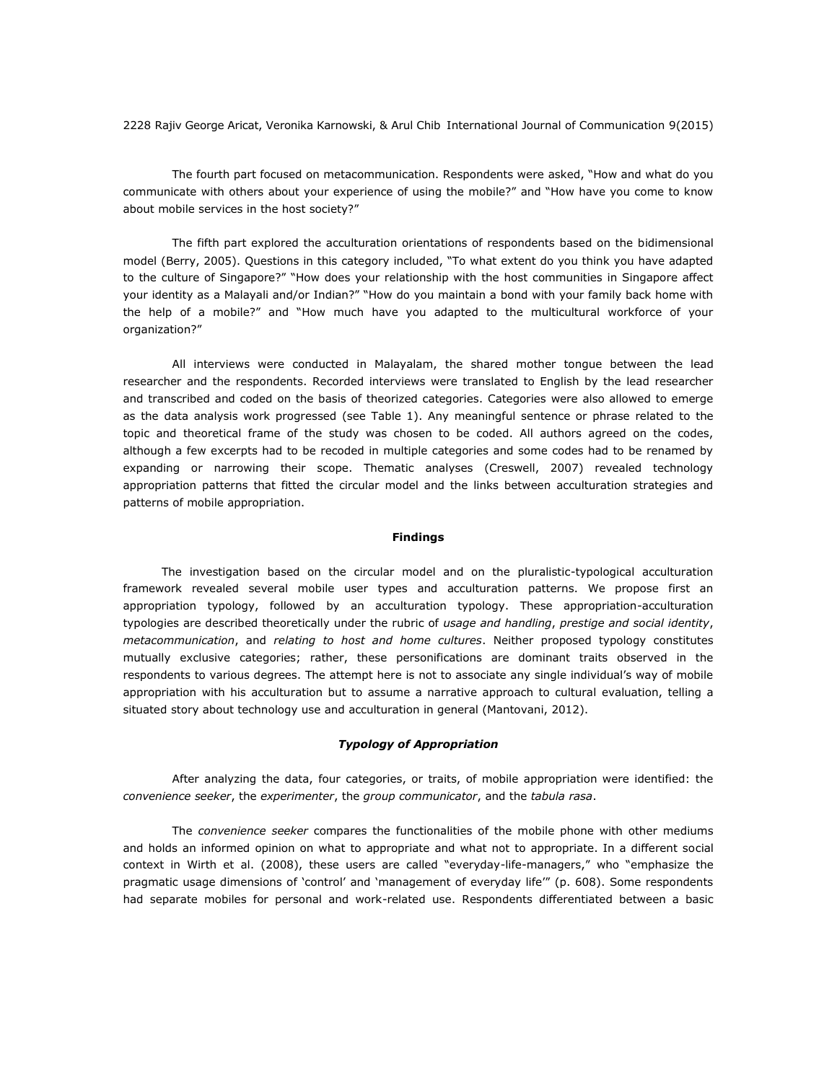The fourth part focused on metacommunication. Respondents were asked, "How and what do you communicate with others about your experience of using the mobile?" and "How have you come to know about mobile services in the host society?"

The fifth part explored the acculturation orientations of respondents based on the bidimensional model (Berry, 2005). Questions in this category included, "To what extent do you think you have adapted to the culture of Singapore?" "How does your relationship with the host communities in Singapore affect your identity as a Malayali and/or Indian?" "How do you maintain a bond with your family back home with the help of a mobile?" and "How much have you adapted to the multicultural workforce of your organization?"

All interviews were conducted in Malayalam, the shared mother tongue between the lead researcher and the respondents. Recorded interviews were translated to English by the lead researcher and transcribed and coded on the basis of theorized categories. Categories were also allowed to emerge as the data analysis work progressed (see Table 1). Any meaningful sentence or phrase related to the topic and theoretical frame of the study was chosen to be coded. All authors agreed on the codes, although a few excerpts had to be recoded in multiple categories and some codes had to be renamed by expanding or narrowing their scope. Thematic analyses (Creswell, 2007) revealed technology appropriation patterns that fitted the circular model and the links between acculturation strategies and patterns of mobile appropriation.

#### **Findings**

The investigation based on the circular model and on the pluralistic-typological acculturation framework revealed several mobile user types and acculturation patterns. We propose first an appropriation typology, followed by an acculturation typology. These appropriation-acculturation typologies are described theoretically under the rubric of *usage and handling*, *prestige and social identity*, *metacommunication*, and *relating to host and home cultures*. Neither proposed typology constitutes mutually exclusive categories; rather, these personifications are dominant traits observed in the respondents to various degrees. The attempt here is not to associate any single individual's way of mobile appropriation with his acculturation but to assume a narrative approach to cultural evaluation, telling a situated story about technology use and acculturation in general (Mantovani, 2012).

# *Typology of Appropriation*

After analyzing the data, four categories, or traits, of mobile appropriation were identified: the *convenience seeker*, the *experimenter*, the *group communicator*, and the *tabula rasa*.

The *convenience seeker* compares the functionalities of the mobile phone with other mediums and holds an informed opinion on what to appropriate and what not to appropriate. In a different social context in Wirth et al. (2008), these users are called "everyday-life-managers," who "emphasize the pragmatic usage dimensions of 'control' and 'management of everyday life'" (p. 608). Some respondents had separate mobiles for personal and work-related use. Respondents differentiated between a basic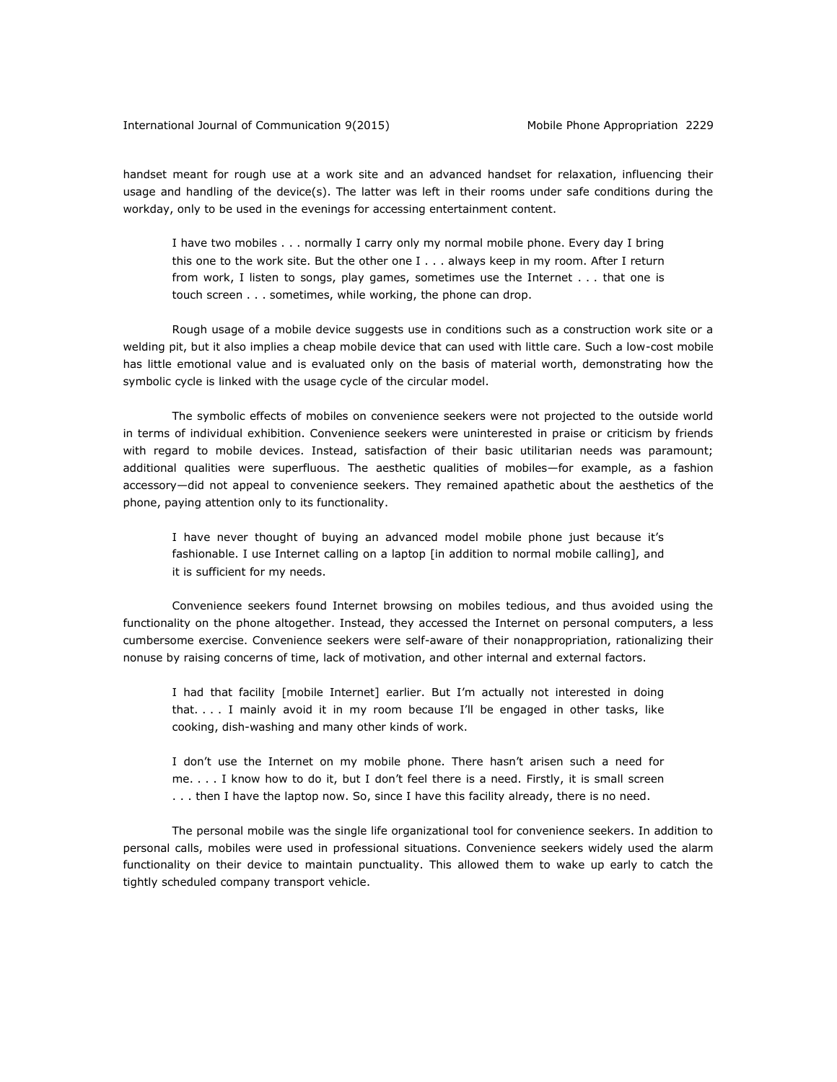handset meant for rough use at a work site and an advanced handset for relaxation, influencing their usage and handling of the device(s). The latter was left in their rooms under safe conditions during the workday, only to be used in the evenings for accessing entertainment content.

I have two mobiles . . . normally I carry only my normal mobile phone. Every day I bring this one to the work site. But the other one I . . . always keep in my room. After I return from work, I listen to songs, play games, sometimes use the Internet . . . that one is touch screen . . . sometimes, while working, the phone can drop.

Rough usage of a mobile device suggests use in conditions such as a construction work site or a welding pit, but it also implies a cheap mobile device that can used with little care. Such a low-cost mobile has little emotional value and is evaluated only on the basis of material worth, demonstrating how the symbolic cycle is linked with the usage cycle of the circular model.

The symbolic effects of mobiles on convenience seekers were not projected to the outside world in terms of individual exhibition. Convenience seekers were uninterested in praise or criticism by friends with regard to mobile devices. Instead, satisfaction of their basic utilitarian needs was paramount; additional qualities were superfluous. The aesthetic qualities of mobiles—for example, as a fashion accessory—did not appeal to convenience seekers. They remained apathetic about the aesthetics of the phone, paying attention only to its functionality.

I have never thought of buying an advanced model mobile phone just because it's fashionable. I use Internet calling on a laptop [in addition to normal mobile calling], and it is sufficient for my needs.

Convenience seekers found Internet browsing on mobiles tedious, and thus avoided using the functionality on the phone altogether. Instead, they accessed the Internet on personal computers, a less cumbersome exercise. Convenience seekers were self-aware of their nonappropriation, rationalizing their nonuse by raising concerns of time, lack of motivation, and other internal and external factors.

I had that facility [mobile Internet] earlier. But I'm actually not interested in doing that. . . . I mainly avoid it in my room because I'll be engaged in other tasks, like cooking, dish-washing and many other kinds of work.

I don't use the Internet on my mobile phone. There hasn't arisen such a need for me. . . . I know how to do it, but I don't feel there is a need. Firstly, it is small screen . . . then I have the laptop now. So, since I have this facility already, there is no need.

The personal mobile was the single life organizational tool for convenience seekers. In addition to personal calls, mobiles were used in professional situations. Convenience seekers widely used the alarm functionality on their device to maintain punctuality. This allowed them to wake up early to catch the tightly scheduled company transport vehicle.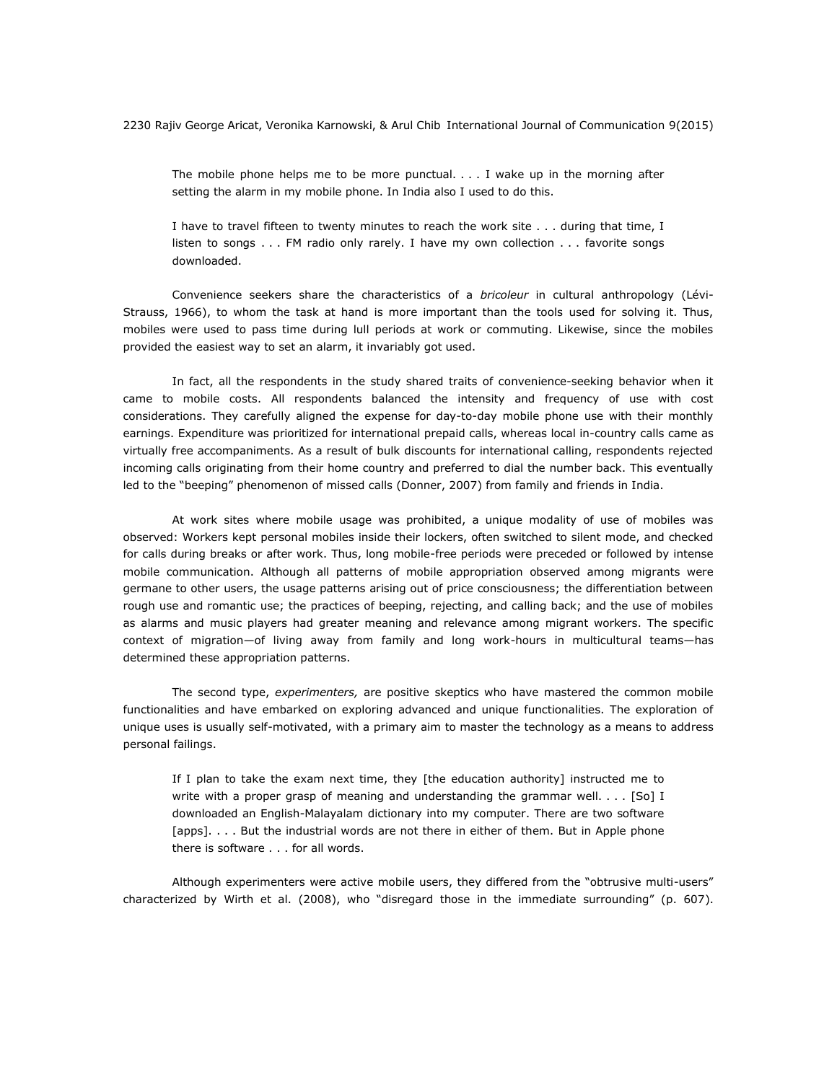The mobile phone helps me to be more punctual. . . . I wake up in the morning after setting the alarm in my mobile phone. In India also I used to do this.

I have to travel fifteen to twenty minutes to reach the work site . . . during that time, I listen to songs . . . FM radio only rarely. I have my own collection . . . favorite songs downloaded.

Convenience seekers share the characteristics of a *bricoleur* in cultural anthropology (Lévi-Strauss, 1966), to whom the task at hand is more important than the tools used for solving it. Thus, mobiles were used to pass time during lull periods at work or commuting. Likewise, since the mobiles provided the easiest way to set an alarm, it invariably got used.

In fact, all the respondents in the study shared traits of convenience-seeking behavior when it came to mobile costs. All respondents balanced the intensity and frequency of use with cost considerations. They carefully aligned the expense for day-to-day mobile phone use with their monthly earnings. Expenditure was prioritized for international prepaid calls, whereas local in-country calls came as virtually free accompaniments. As a result of bulk discounts for international calling, respondents rejected incoming calls originating from their home country and preferred to dial the number back. This eventually led to the "beeping" phenomenon of missed calls (Donner, 2007) from family and friends in India.

At work sites where mobile usage was prohibited, a unique modality of use of mobiles was observed: Workers kept personal mobiles inside their lockers, often switched to silent mode, and checked for calls during breaks or after work. Thus, long mobile-free periods were preceded or followed by intense mobile communication. Although all patterns of mobile appropriation observed among migrants were germane to other users, the usage patterns arising out of price consciousness; the differentiation between rough use and romantic use; the practices of beeping, rejecting, and calling back; and the use of mobiles as alarms and music players had greater meaning and relevance among migrant workers. The specific context of migration—of living away from family and long work-hours in multicultural teams—has determined these appropriation patterns.

The second type, *experimenters,* are positive skeptics who have mastered the common mobile functionalities and have embarked on exploring advanced and unique functionalities. The exploration of unique uses is usually self-motivated, with a primary aim to master the technology as a means to address personal failings.

If I plan to take the exam next time, they [the education authority] instructed me to write with a proper grasp of meaning and understanding the grammar well. . . . [So] I downloaded an English-Malayalam dictionary into my computer. There are two software [apps]. . . . But the industrial words are not there in either of them. But in Apple phone there is software . . . for all words.

Although experimenters were active mobile users, they differed from the "obtrusive multi-users" characterized by Wirth et al. (2008), who "disregard those in the immediate surrounding" (p. 607).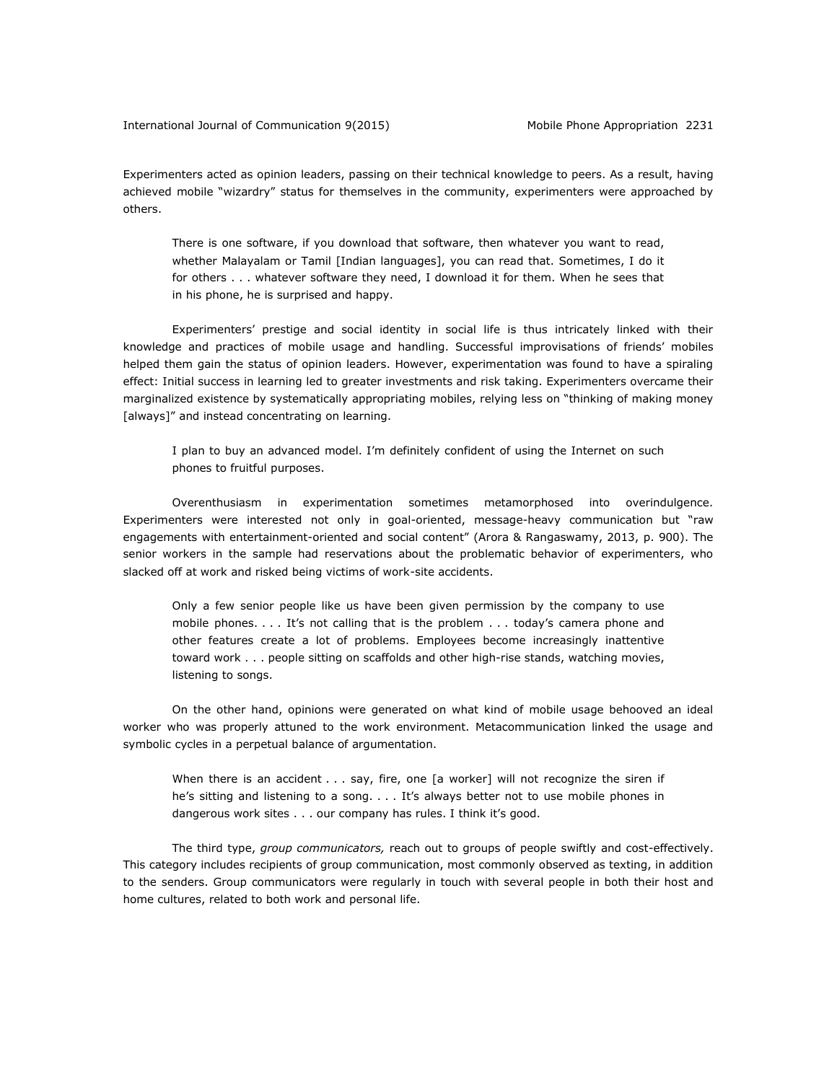Experimenters acted as opinion leaders, passing on their technical knowledge to peers. As a result, having achieved mobile "wizardry" status for themselves in the community, experimenters were approached by others.

There is one software, if you download that software, then whatever you want to read, whether Malayalam or Tamil [Indian languages], you can read that. Sometimes, I do it for others . . . whatever software they need, I download it for them. When he sees that in his phone, he is surprised and happy.

Experimenters' prestige and social identity in social life is thus intricately linked with their knowledge and practices of mobile usage and handling. Successful improvisations of friends' mobiles helped them gain the status of opinion leaders. However, experimentation was found to have a spiraling effect: Initial success in learning led to greater investments and risk taking. Experimenters overcame their marginalized existence by systematically appropriating mobiles, relying less on "thinking of making money [always]" and instead concentrating on learning.

I plan to buy an advanced model. I'm definitely confident of using the Internet on such phones to fruitful purposes.

Overenthusiasm in experimentation sometimes metamorphosed into overindulgence. Experimenters were interested not only in goal-oriented, message-heavy communication but "raw engagements with entertainment-oriented and social content" (Arora & Rangaswamy, 2013, p. 900). The senior workers in the sample had reservations about the problematic behavior of experimenters, who slacked off at work and risked being victims of work-site accidents.

Only a few senior people like us have been given permission by the company to use mobile phones. . . . It's not calling that is the problem . . . today's camera phone and other features create a lot of problems. Employees become increasingly inattentive toward work . . . people sitting on scaffolds and other high-rise stands, watching movies, listening to songs.

On the other hand, opinions were generated on what kind of mobile usage behooved an ideal worker who was properly attuned to the work environment. Metacommunication linked the usage and symbolic cycles in a perpetual balance of argumentation.

When there is an accident  $\ldots$  say, fire, one [a worker] will not recognize the siren if he's sitting and listening to a song. . . . It's always better not to use mobile phones in dangerous work sites . . . our company has rules. I think it's good.

The third type, *group communicators,* reach out to groups of people swiftly and cost-effectively. This category includes recipients of group communication, most commonly observed as texting, in addition to the senders. Group communicators were regularly in touch with several people in both their host and home cultures, related to both work and personal life.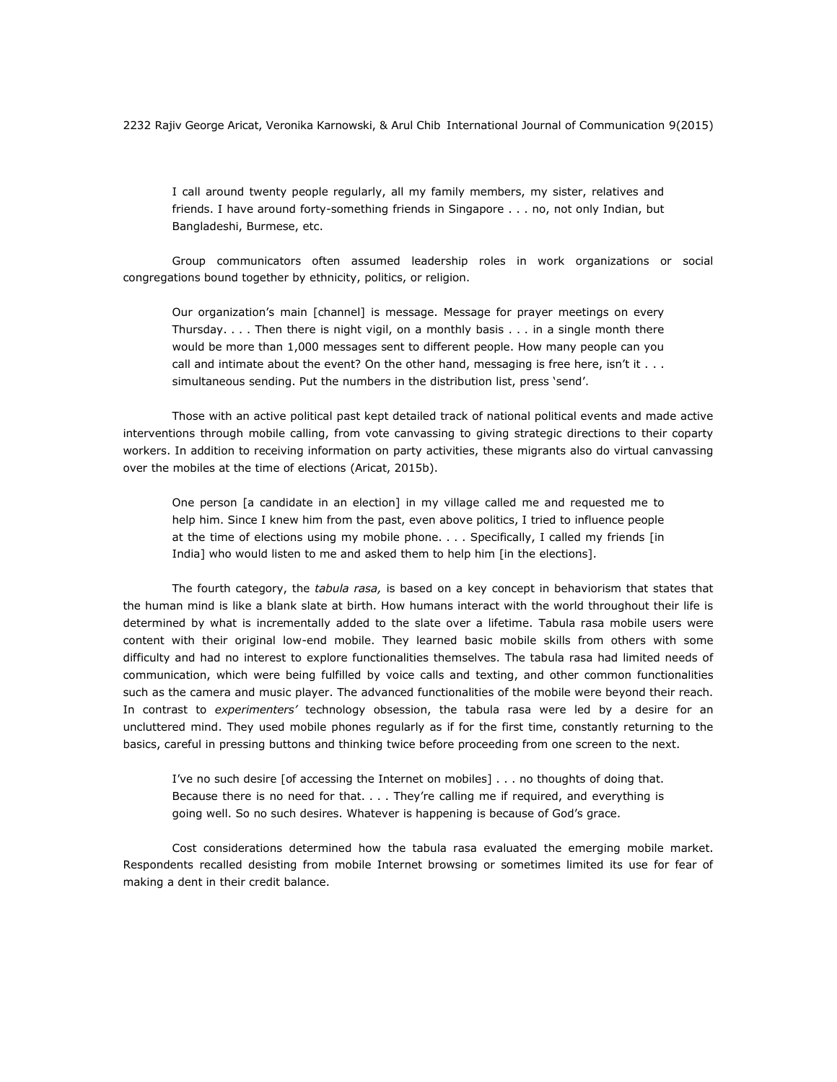I call around twenty people regularly, all my family members, my sister, relatives and friends. I have around forty-something friends in Singapore . . . no, not only Indian, but Bangladeshi, Burmese, etc.

Group communicators often assumed leadership roles in work organizations or social congregations bound together by ethnicity, politics, or religion.

Our organization's main [channel] is message. Message for prayer meetings on every Thursday. . . . Then there is night vigil, on a monthly basis . . . in a single month there would be more than 1,000 messages sent to different people. How many people can you call and intimate about the event? On the other hand, messaging is free here, isn't it  $\dots$ simultaneous sending. Put the numbers in the distribution list, press 'send'.

Those with an active political past kept detailed track of national political events and made active interventions through mobile calling, from vote canvassing to giving strategic directions to their coparty workers. In addition to receiving information on party activities, these migrants also do virtual canvassing over the mobiles at the time of elections (Aricat, 2015b).

One person [a candidate in an election] in my village called me and requested me to help him. Since I knew him from the past, even above politics, I tried to influence people at the time of elections using my mobile phone. . . . Specifically, I called my friends [in India] who would listen to me and asked them to help him [in the elections].

The fourth category, the *tabula rasa,* is based on a key concept in behaviorism that states that the human mind is like a blank slate at birth. How humans interact with the world throughout their life is determined by what is incrementally added to the slate over a lifetime. Tabula rasa mobile users were content with their original low-end mobile. They learned basic mobile skills from others with some difficulty and had no interest to explore functionalities themselves. The tabula rasa had limited needs of communication, which were being fulfilled by voice calls and texting, and other common functionalities such as the camera and music player. The advanced functionalities of the mobile were beyond their reach. In contrast to *experimenters'* technology obsession, the tabula rasa were led by a desire for an uncluttered mind. They used mobile phones regularly as if for the first time, constantly returning to the basics, careful in pressing buttons and thinking twice before proceeding from one screen to the next.

I've no such desire [of accessing the Internet on mobiles] . . . no thoughts of doing that. Because there is no need for that. . . . They're calling me if required, and everything is going well. So no such desires. Whatever is happening is because of God's grace.

Cost considerations determined how the tabula rasa evaluated the emerging mobile market. Respondents recalled desisting from mobile Internet browsing or sometimes limited its use for fear of making a dent in their credit balance.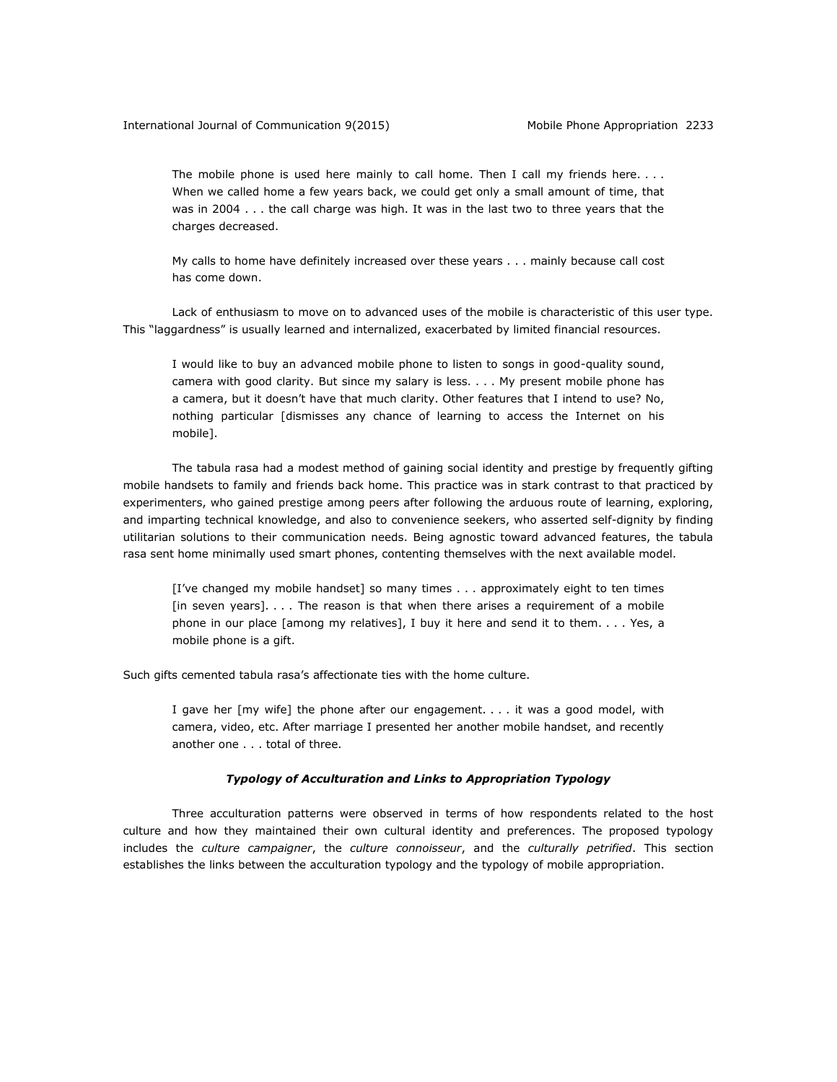The mobile phone is used here mainly to call home. Then I call my friends here. . . . When we called home a few years back, we could get only a small amount of time, that was in 2004 . . . the call charge was high. It was in the last two to three years that the charges decreased.

My calls to home have definitely increased over these years . . . mainly because call cost has come down.

Lack of enthusiasm to move on to advanced uses of the mobile is characteristic of this user type. This "laggardness" is usually learned and internalized, exacerbated by limited financial resources.

I would like to buy an advanced mobile phone to listen to songs in good-quality sound, camera with good clarity. But since my salary is less. . . . My present mobile phone has a camera, but it doesn't have that much clarity. Other features that I intend to use? No, nothing particular [dismisses any chance of learning to access the Internet on his mobile].

The tabula rasa had a modest method of gaining social identity and prestige by frequently gifting mobile handsets to family and friends back home. This practice was in stark contrast to that practiced by experimenters, who gained prestige among peers after following the arduous route of learning, exploring, and imparting technical knowledge, and also to convenience seekers, who asserted self-dignity by finding utilitarian solutions to their communication needs. Being agnostic toward advanced features, the tabula rasa sent home minimally used smart phones, contenting themselves with the next available model.

[I've changed my mobile handset] so many times . . . approximately eight to ten times [in seven years]. . . . The reason is that when there arises a requirement of a mobile phone in our place [among my relatives], I buy it here and send it to them. . . . Yes, a mobile phone is a gift.

Such gifts cemented tabula rasa's affectionate ties with the home culture.

I gave her [my wife] the phone after our engagement. . . . it was a good model, with camera, video, etc. After marriage I presented her another mobile handset, and recently another one . . . total of three.

#### *Typology of Acculturation and Links to Appropriation Typology*

Three acculturation patterns were observed in terms of how respondents related to the host culture and how they maintained their own cultural identity and preferences. The proposed typology includes the *culture campaigner*, the *culture connoisseur*, and the *culturally petrified*. This section establishes the links between the acculturation typology and the typology of mobile appropriation.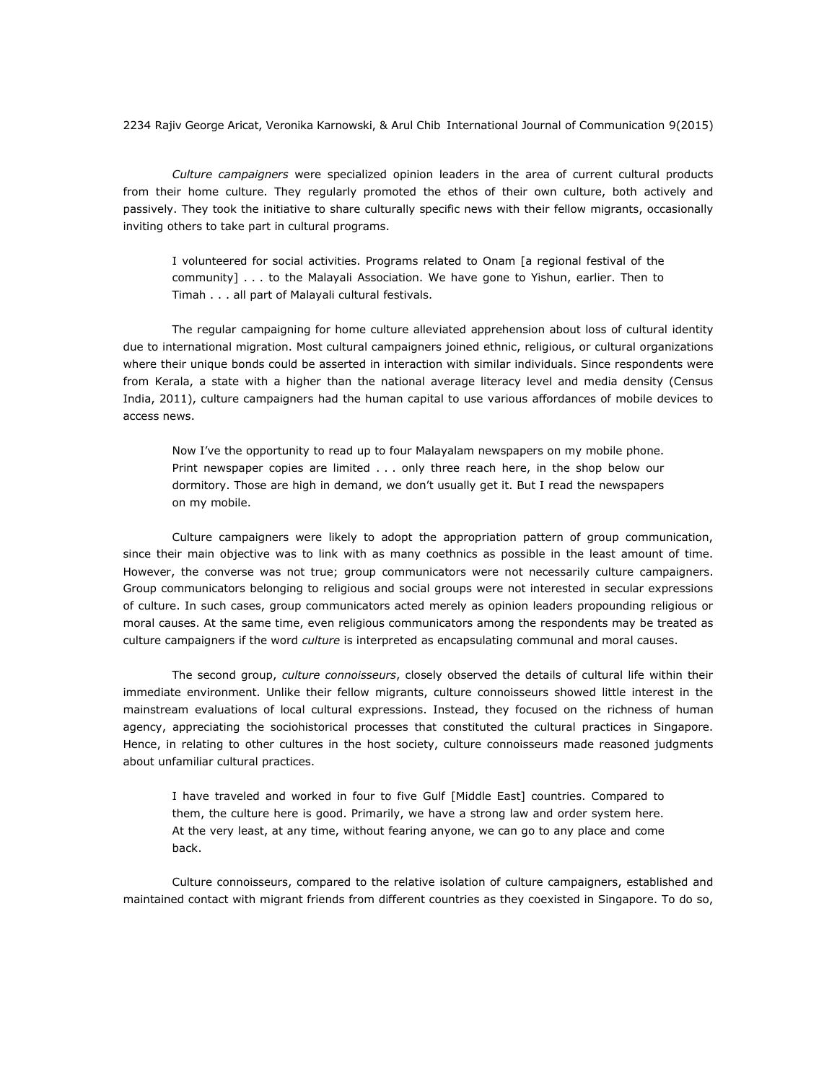*Culture campaigners* were specialized opinion leaders in the area of current cultural products from their home culture. They regularly promoted the ethos of their own culture, both actively and passively. They took the initiative to share culturally specific news with their fellow migrants, occasionally inviting others to take part in cultural programs.

I volunteered for social activities. Programs related to Onam [a regional festival of the community] . . . to the Malayali Association. We have gone to Yishun, earlier. Then to Timah . . . all part of Malayali cultural festivals.

The regular campaigning for home culture alleviated apprehension about loss of cultural identity due to international migration. Most cultural campaigners joined ethnic, religious, or cultural organizations where their unique bonds could be asserted in interaction with similar individuals. Since respondents were from Kerala, a state with a higher than the national average literacy level and media density (Census India, 2011), culture campaigners had the human capital to use various affordances of mobile devices to access news.

Now I've the opportunity to read up to four Malayalam newspapers on my mobile phone. Print newspaper copies are limited . . . only three reach here, in the shop below our dormitory. Those are high in demand, we don't usually get it. But I read the newspapers on my mobile.

Culture campaigners were likely to adopt the appropriation pattern of group communication, since their main objective was to link with as many coethnics as possible in the least amount of time. However, the converse was not true; group communicators were not necessarily culture campaigners. Group communicators belonging to religious and social groups were not interested in secular expressions of culture. In such cases, group communicators acted merely as opinion leaders propounding religious or moral causes. At the same time, even religious communicators among the respondents may be treated as culture campaigners if the word *culture* is interpreted as encapsulating communal and moral causes.

The second group, *culture connoisseurs*, closely observed the details of cultural life within their immediate environment. Unlike their fellow migrants, culture connoisseurs showed little interest in the mainstream evaluations of local cultural expressions. Instead, they focused on the richness of human agency, appreciating the sociohistorical processes that constituted the cultural practices in Singapore. Hence, in relating to other cultures in the host society, culture connoisseurs made reasoned judgments about unfamiliar cultural practices.

I have traveled and worked in four to five Gulf [Middle East] countries. Compared to them, the culture here is good. Primarily, we have a strong law and order system here. At the very least, at any time, without fearing anyone, we can go to any place and come back.

Culture connoisseurs, compared to the relative isolation of culture campaigners, established and maintained contact with migrant friends from different countries as they coexisted in Singapore. To do so,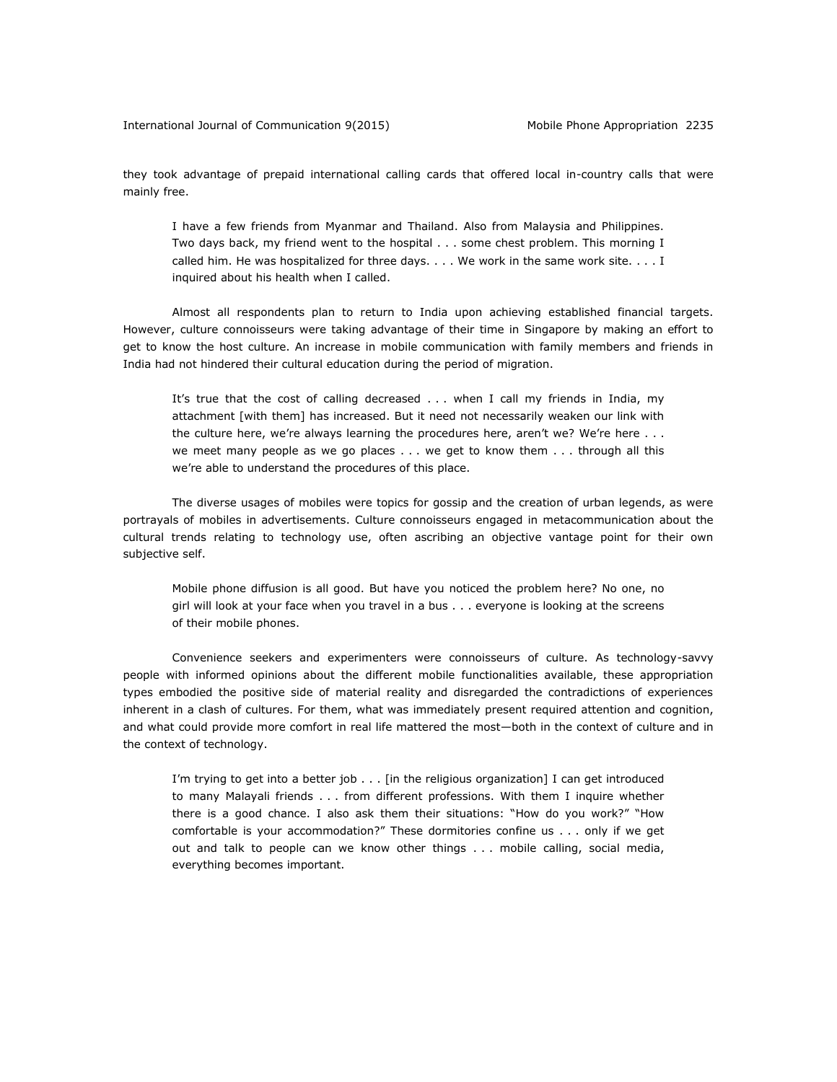they took advantage of prepaid international calling cards that offered local in-country calls that were mainly free.

I have a few friends from Myanmar and Thailand. Also from Malaysia and Philippines. Two days back, my friend went to the hospital . . . some chest problem. This morning I called him. He was hospitalized for three days. . . . We work in the same work site. . . . I inquired about his health when I called.

Almost all respondents plan to return to India upon achieving established financial targets. However, culture connoisseurs were taking advantage of their time in Singapore by making an effort to get to know the host culture. An increase in mobile communication with family members and friends in India had not hindered their cultural education during the period of migration.

It's true that the cost of calling decreased . . . when I call my friends in India, my attachment [with them] has increased. But it need not necessarily weaken our link with the culture here, we're always learning the procedures here, aren't we? We're here . . . we meet many people as we go places . . . we get to know them . . . through all this we're able to understand the procedures of this place.

The diverse usages of mobiles were topics for gossip and the creation of urban legends, as were portrayals of mobiles in advertisements. Culture connoisseurs engaged in metacommunication about the cultural trends relating to technology use, often ascribing an objective vantage point for their own subjective self.

Mobile phone diffusion is all good. But have you noticed the problem here? No one, no girl will look at your face when you travel in a bus . . . everyone is looking at the screens of their mobile phones.

Convenience seekers and experimenters were connoisseurs of culture. As technology-savvy people with informed opinions about the different mobile functionalities available, these appropriation types embodied the positive side of material reality and disregarded the contradictions of experiences inherent in a clash of cultures. For them, what was immediately present required attention and cognition, and what could provide more comfort in real life mattered the most—both in the context of culture and in the context of technology.

I'm trying to get into a better job  $\ldots$  [in the religious organization] I can get introduced to many Malayali friends . . . from different professions. With them I inquire whether there is a good chance. I also ask them their situations: "How do you work?" "How comfortable is your accommodation?" These dormitories confine us . . . only if we get out and talk to people can we know other things . . . mobile calling, social media, everything becomes important.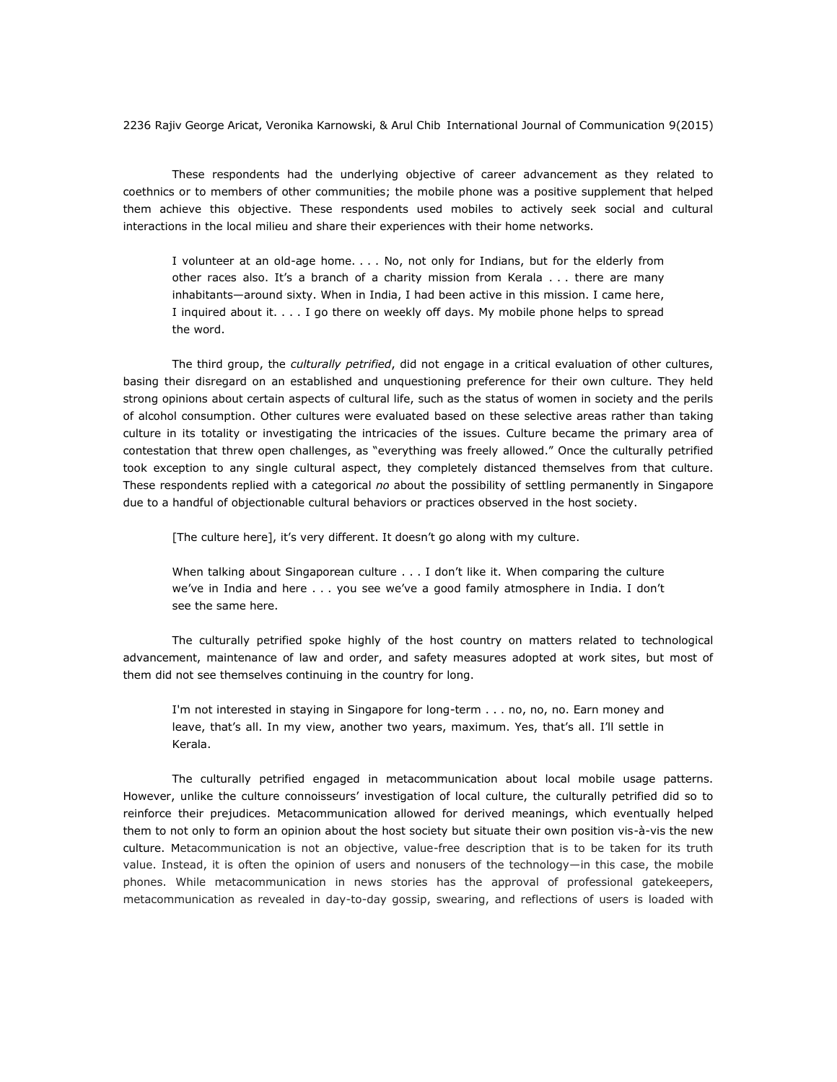These respondents had the underlying objective of career advancement as they related to coethnics or to members of other communities; the mobile phone was a positive supplement that helped them achieve this objective. These respondents used mobiles to actively seek social and cultural interactions in the local milieu and share their experiences with their home networks.

I volunteer at an old-age home. . . . No, not only for Indians, but for the elderly from other races also. It's a branch of a charity mission from Kerala . . . there are many inhabitants—around sixty. When in India, I had been active in this mission. I came here, I inquired about it. . . . I go there on weekly off days. My mobile phone helps to spread the word.

The third group, the *culturally petrified*, did not engage in a critical evaluation of other cultures, basing their disregard on an established and unquestioning preference for their own culture. They held strong opinions about certain aspects of cultural life, such as the status of women in society and the perils of alcohol consumption. Other cultures were evaluated based on these selective areas rather than taking culture in its totality or investigating the intricacies of the issues. Culture became the primary area of contestation that threw open challenges, as "everything was freely allowed." Once the culturally petrified took exception to any single cultural aspect, they completely distanced themselves from that culture. These respondents replied with a categorical *no* about the possibility of settling permanently in Singapore due to a handful of objectionable cultural behaviors or practices observed in the host society.

[The culture here], it's very different. It doesn't go along with my culture.

When talking about Singaporean culture . . . I don't like it. When comparing the culture we've in India and here . . . you see we've a good family atmosphere in India. I don't see the same here.

The culturally petrified spoke highly of the host country on matters related to technological advancement, maintenance of law and order, and safety measures adopted at work sites, but most of them did not see themselves continuing in the country for long.

I'm not interested in staying in Singapore for long-term . . . no, no, no. Earn money and leave, that's all. In my view, another two years, maximum. Yes, that's all. I'll settle in Kerala.

The culturally petrified engaged in metacommunication about local mobile usage patterns. However, unlike the culture connoisseurs' investigation of local culture, the culturally petrified did so to reinforce their prejudices. Metacommunication allowed for derived meanings, which eventually helped them to not only to form an opinion about the host society but situate their own position vis-à-vis the new culture. Metacommunication is not an objective, value-free description that is to be taken for its truth value. Instead, it is often the opinion of users and nonusers of the technology—in this case, the mobile phones. While metacommunication in news stories has the approval of professional gatekeepers, metacommunication as revealed in day-to-day gossip, swearing, and reflections of users is loaded with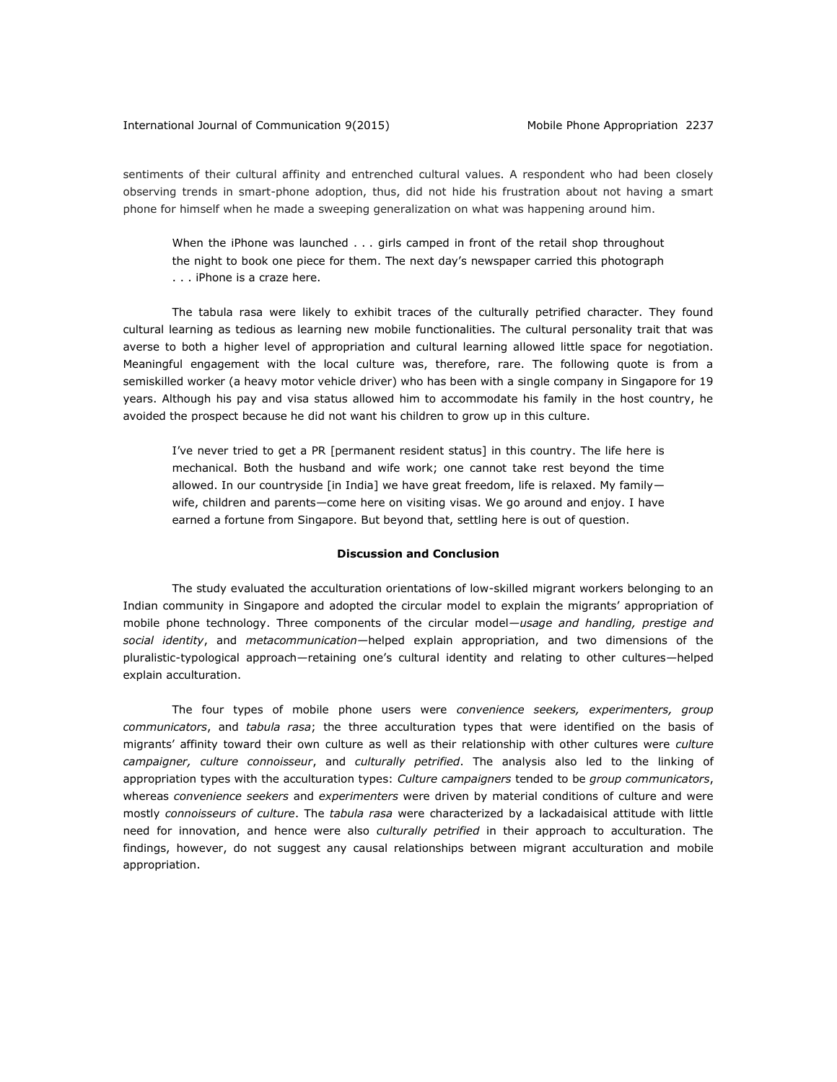sentiments of their cultural affinity and entrenched cultural values. A respondent who had been closely observing trends in smart-phone adoption, thus, did not hide his frustration about not having a smart phone for himself when he made a sweeping generalization on what was happening around him.

When the iPhone was launched . . . girls camped in front of the retail shop throughout the night to book one piece for them. The next day's newspaper carried this photograph . . . iPhone is a craze here.

The tabula rasa were likely to exhibit traces of the culturally petrified character. They found cultural learning as tedious as learning new mobile functionalities. The cultural personality trait that was averse to both a higher level of appropriation and cultural learning allowed little space for negotiation. Meaningful engagement with the local culture was, therefore, rare. The following quote is from a semiskilled worker (a heavy motor vehicle driver) who has been with a single company in Singapore for 19 years. Although his pay and visa status allowed him to accommodate his family in the host country, he avoided the prospect because he did not want his children to grow up in this culture.

I've never tried to get a PR [permanent resident status] in this country. The life here is mechanical. Both the husband and wife work; one cannot take rest beyond the time allowed. In our countryside [in India] we have great freedom, life is relaxed. My family wife, children and parents—come here on visiting visas. We go around and enjoy. I have earned a fortune from Singapore. But beyond that, settling here is out of question.

### **Discussion and Conclusion**

The study evaluated the acculturation orientations of low-skilled migrant workers belonging to an Indian community in Singapore and adopted the circular model to explain the migrants' appropriation of mobile phone technology. Three components of the circular model*—usage and handling, prestige and social identity*, and *metacommunication—*helped explain appropriation, and two dimensions of the pluralistic-typological approach*—*retaining one's cultural identity and relating to other cultures*—*helped explain acculturation.

The four types of mobile phone users were *convenience seekers, experimenters, group communicators*, and *tabula rasa*; the three acculturation types that were identified on the basis of migrants' affinity toward their own culture as well as their relationship with other cultures were *culture campaigner, culture connoisseur*, and *culturally petrified*. The analysis also led to the linking of appropriation types with the acculturation types: *Culture campaigners* tended to be *group communicators*, whereas *convenience seekers* and *experimenters* were driven by material conditions of culture and were mostly *connoisseurs of culture*. The *tabula rasa* were characterized by a lackadaisical attitude with little need for innovation, and hence were also *culturally petrified* in their approach to acculturation. The findings, however, do not suggest any causal relationships between migrant acculturation and mobile appropriation.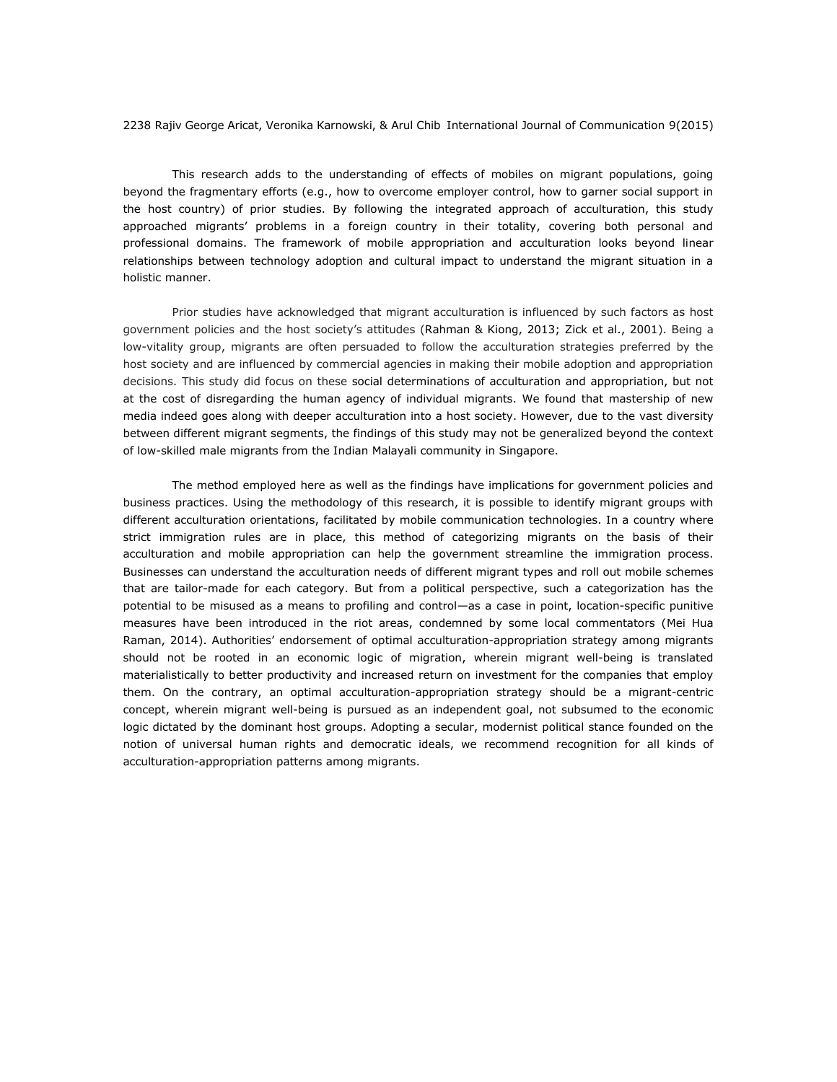This research adds to the understanding of effects of mobiles on migrant populations, going beyond the fragmentary efforts (e.g., how to overcome employer control, how to garner social support in the host country) of prior studies. By following the integrated approach of acculturation, this study approached migrants' problems in a foreign country in their totality, covering both personal and professional domains. The framework of mobile appropriation and acculturation looks beyond linear relationships between technology adoption and cultural impact to understand the migrant situation in a holistic manner.

Prior studies have acknowledged that migrant acculturation is influenced by such factors as host government policies and the host society's attitudes (Rahman & Kiong, 2013; Zick et al., 2001). Being a low-vitality group, migrants are often persuaded to follow the acculturation strategies preferred by the host society and are influenced by commercial agencies in making their mobile adoption and appropriation decisions. This study did focus on these social determinations of acculturation and appropriation, but not at the cost of disregarding the human agency of individual migrants. We found that mastership of new media indeed goes along with deeper acculturation into a host society. However, due to the vast diversity between different migrant segments, the findings of this study may not be generalized beyond the context of low-skilled male migrants from the Indian Malayali community in Singapore.

The method employed here as well as the findings have implications for government policies and business practices. Using the methodology of this research, it is possible to identify migrant groups with different acculturation orientations, facilitated by mobile communication technologies. In a country where strict immigration rules are in place, this method of categorizing migrants on the basis of their acculturation and mobile appropriation can help the government streamline the immigration process. Businesses can understand the acculturation needs of different migrant types and roll out mobile schemes that are tailor-made for each category. But from a political perspective, such a categorization has the potential to be misused as a means to profiling and control*—*as a case in point, location-specific punitive measures have been introduced in the riot areas, condemned by some local commentators (Mei Hua Raman, 2014). Authorities' endorsement of optimal acculturation-appropriation strategy among migrants should not be rooted in an economic logic of migration, wherein migrant well-being is translated materialistically to better productivity and increased return on investment for the companies that employ them. On the contrary, an optimal acculturation-appropriation strategy should be a migrant-centric concept, wherein migrant well-being is pursued as an independent goal, not subsumed to the economic logic dictated by the dominant host groups. Adopting a secular, modernist political stance founded on the notion of universal human rights and democratic ideals, we recommend recognition for all kinds of acculturation-appropriation patterns among migrants.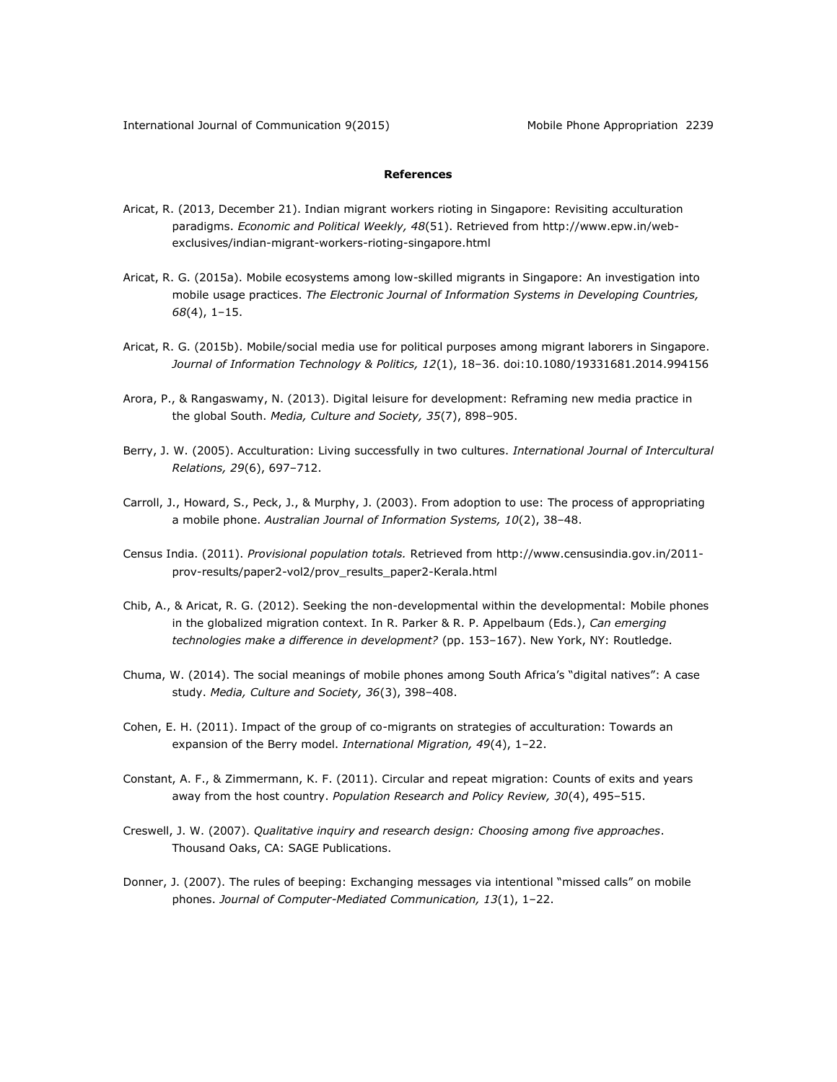# **References**

- Aricat, R. (2013, December 21). Indian migrant workers rioting in Singapore: Revisiting acculturation paradigms. *Economic and Political Weekly, 48*(51). Retrieved from [http://www.epw.in/web](http://www.epw.in/web-exclusives/indian-migrant-workers-rioting-singapore.html)[exclusives/indian-migrant-workers-rioting-singapore.html](http://www.epw.in/web-exclusives/indian-migrant-workers-rioting-singapore.html)
- Aricat, R. G. (2015a). Mobile ecosystems among low-skilled migrants in Singapore: An investigation into mobile usage practices. *The Electronic Journal of Information Systems in Developing Countries, 68*(4), 1–15.
- Aricat, R. G. (2015b). Mobile/social media use for political purposes among migrant laborers in Singapore. *Journal of Information Technology & Politics, 12*(1), 18–36. doi:10.1080/19331681.2014.994156
- Arora, P., & Rangaswamy, N. (2013). Digital leisure for development: Reframing new media practice in the global South. *Media, Culture and Society, 35*(7), 898–905.
- Berry, J. W. (2005). Acculturation: Living successfully in two cultures. *International Journal of Intercultural Relations, 29*(6), 697–712.
- Carroll, J., Howard, S., Peck, J., & Murphy, J. (2003). From adoption to use: The process of appropriating a mobile phone. *Australian Journal of Information Systems, 10*(2), 38–48.
- Census India. (2011). *Provisional population totals.* Retrieved from [http://www.censusindia.gov.in/2011](http://www.censusindia.gov.in/2011-prov-results/paper2-vol2/prov_results_paper2-Kerala.html) [prov-results/paper2-vol2/prov\\_results\\_paper2-Kerala.html](http://www.censusindia.gov.in/2011-prov-results/paper2-vol2/prov_results_paper2-Kerala.html)
- Chib, A., & Aricat, R. G. (2012). Seeking the non-developmental within the developmental: Mobile phones in the globalized migration context. In R. Parker & R. P. Appelbaum (Eds.), *Can emerging technologies make a difference in development?* (pp. 153–167). New York, NY: Routledge.
- Chuma, W. (2014). The social meanings of mobile phones among South Africa's "digital natives": A case study. *Media, Culture and Society, 36*(3), 398–408.
- Cohen, E. H. (2011). Impact of the group of co-migrants on strategies of acculturation: Towards an expansion of the Berry model. *International Migration, 49*(4), 1–22.
- Constant, A. F., & Zimmermann, K. F. (2011). Circular and repeat migration: Counts of exits and years away from the host country. *Population Research and Policy Review, 30*(4), 495–515.
- Creswell, J. W. (2007). *Qualitative inquiry and research design: Choosing among five approaches*. Thousand Oaks, CA: SAGE Publications.
- Donner, J. (2007). The rules of beeping: Exchanging messages via intentional "missed calls" on mobile phones. *Journal of Computer-Mediated Communication, 13*(1), 1–22.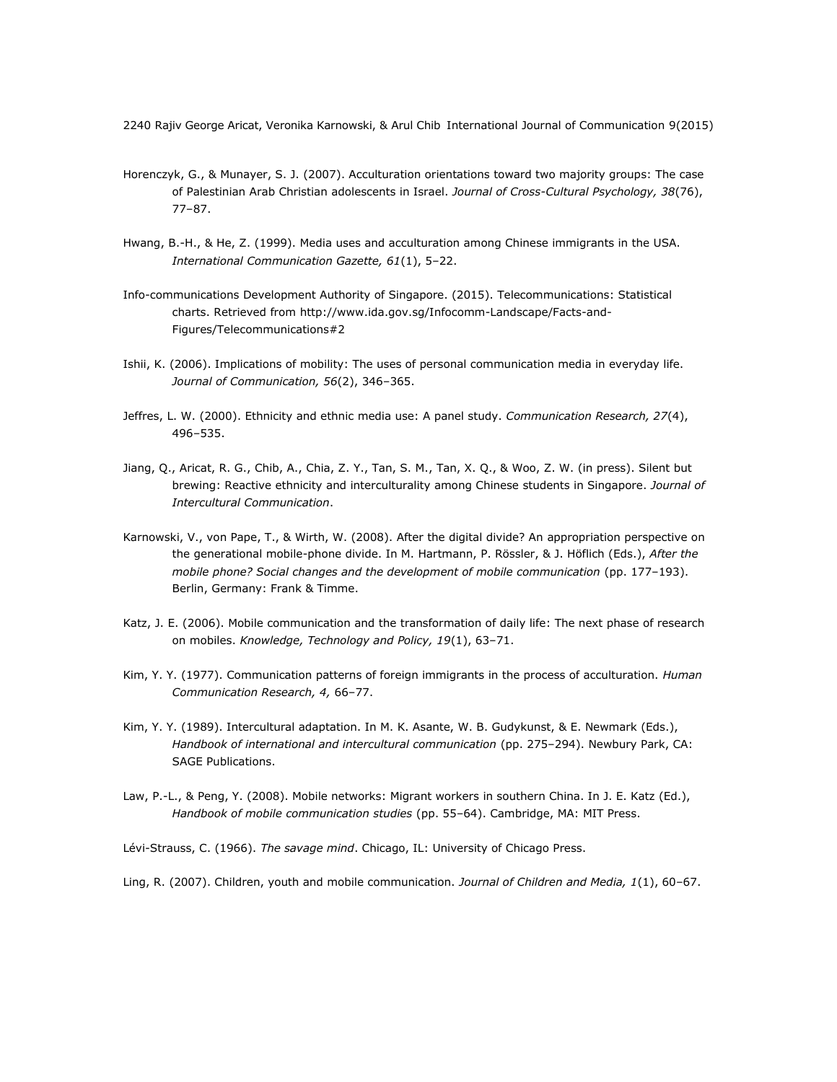- Horenczyk, G., & Munayer, S. J. (2007). Acculturation orientations toward two majority groups: The case of Palestinian Arab Christian adolescents in Israel. *Journal of Cross-Cultural Psychology, 38*(76), 77–87.
- Hwang, B.-H., & He, Z. (1999). Media uses and acculturation among Chinese immigrants in the USA. *International Communication Gazette, 61*(1), 5–22.
- Info-communications Development Authority of Singapore. (2015). Telecommunications: Statistical charts. Retrieved from [http://www.ida.gov.sg/Infocomm-Landscape/Facts-and-](http://www.ida.gov.sg/Infocomm-Landscape/Facts-and-Figures/Telecommunications%232)[Figures/Telecommunications#2](http://www.ida.gov.sg/Infocomm-Landscape/Facts-and-Figures/Telecommunications%232)
- Ishii, K. (2006). Implications of mobility: The uses of personal communication media in everyday life. *Journal of Communication, 56*(2), 346–365.
- Jeffres, L. W. (2000). Ethnicity and ethnic media use: A panel study. *Communication Research, 27*(4), 496–535.
- Jiang, Q., Aricat, R. G., Chib, A., Chia, Z. Y., Tan, S. M., Tan, X. Q., & Woo, Z. W. (in press). Silent but brewing: Reactive ethnicity and interculturality among Chinese students in Singapore. *Journal of Intercultural Communication*.
- Karnowski, V., von Pape, T., & Wirth, W. (2008). After the digital divide? An appropriation perspective on the generational mobile-phone divide. In M. Hartmann, P. Rössler, & J. Höflich (Eds.), *After the mobile phone? Social changes and the development of mobile communication* (pp. 177–193). Berlin, Germany: Frank & Timme.
- Katz, J. E. (2006). Mobile communication and the transformation of daily life: The next phase of research on mobiles. *Knowledge, Technology and Policy, 19*(1), 63–71.
- Kim, Y. Y. (1977). Communication patterns of foreign immigrants in the process of acculturation. *Human Communication Research, 4,* 66–77.
- Kim, Y. Y. (1989). Intercultural adaptation. In M. K. Asante, W. B. Gudykunst, & E. Newmark (Eds.), *Handbook of international and intercultural communication* (pp. 275–294). Newbury Park, CA: SAGE Publications.
- Law, P.-L., & Peng, Y. (2008). Mobile networks: Migrant workers in southern China. In J. E. Katz (Ed.), *Handbook of mobile communication studies* (pp. 55–64). Cambridge, MA: MIT Press.
- Lévi-Strauss, C. (1966). *The savage mind*. Chicago, IL: University of Chicago Press.

Ling, R. (2007). Children, youth and mobile communication. *Journal of Children and Media, 1*(1), 60–67.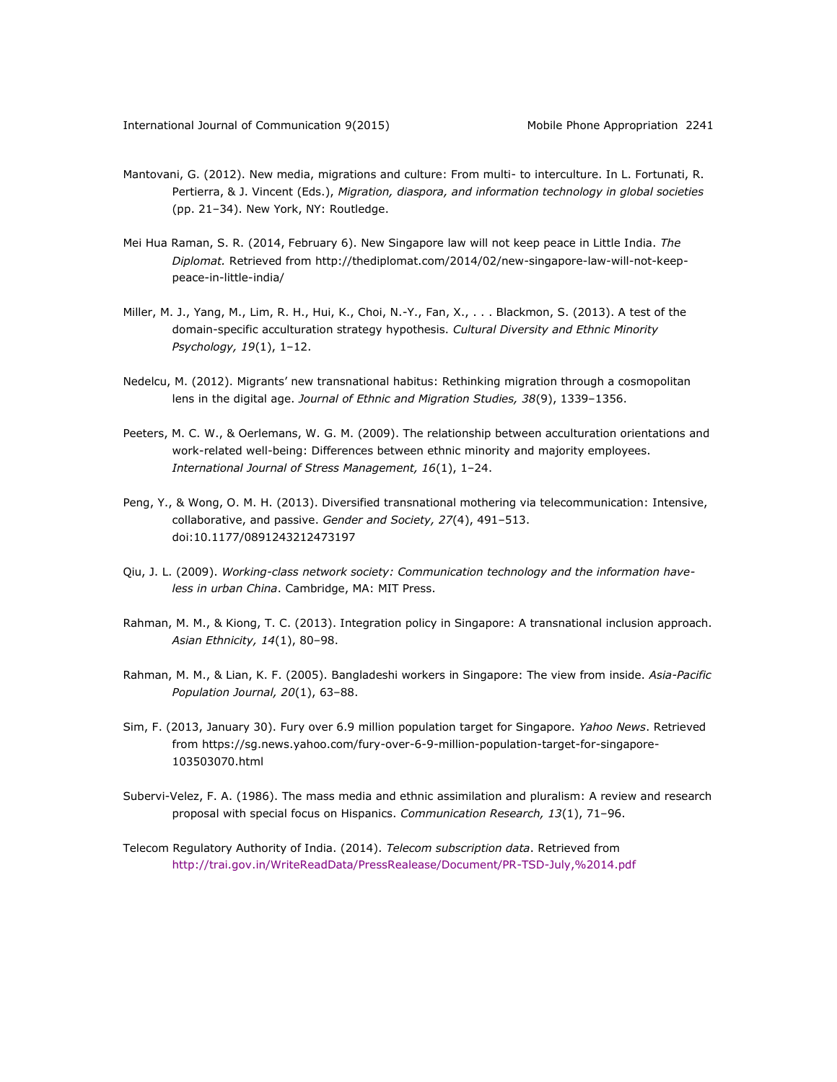- Mantovani, G. (2012). New media, migrations and culture: From multi- to interculture. In L. Fortunati, R. Pertierra, & J. Vincent (Eds.), *Migration, diaspora, and information technology in global societies* (pp. 21–34). New York, NY: Routledge.
- Mei Hua Raman, S. R. (2014, February 6). New Singapore law will not keep peace in Little India. *The Diplomat.* Retrieved from [http://thediplomat.com/2014/02/new-singapore-law-will-not-keep](http://thediplomat.com/2014/02/new-singapore-law-will-not-keep-peace-in-little-india/)[peace-in-little-india/](http://thediplomat.com/2014/02/new-singapore-law-will-not-keep-peace-in-little-india/)
- Miller, M. J., Yang, M., Lim, R. H., Hui, K., Choi, N.-Y., Fan, X., . . . Blackmon, S. (2013). A test of the domain-specific acculturation strategy hypothesis. *Cultural Diversity and Ethnic Minority Psychology, 19*(1), 1–12.
- Nedelcu, M. (2012). Migrants' new transnational habitus: Rethinking migration through a cosmopolitan lens in the digital age. *Journal of Ethnic and Migration Studies, 38*(9), 1339–1356.
- Peeters, M. C. W., & Oerlemans, W. G. M. (2009). The relationship between acculturation orientations and work-related well-being: Differences between ethnic minority and majority employees. *International Journal of Stress Management, 16*(1), 1–24.
- Peng, Y., & Wong, O. M. H. (2013). Diversified transnational mothering via telecommunication: Intensive, collaborative, and passive. *Gender and Society, 27*(4), 491–513. doi:10.1177/0891243212473197
- Qiu, J. L. (2009). *Working-class network society: Communication technology and the information haveless in urban China*. Cambridge, MA: MIT Press.
- Rahman, M. M., & Kiong, T. C. (2013). Integration policy in Singapore: A transnational inclusion approach. *Asian Ethnicity, 14*(1), 80–98.
- Rahman, M. M., & Lian, K. F. (2005). Bangladeshi workers in Singapore: The view from inside. *Asia-Pacific Population Journal, 20*(1), 63–88.
- Sim, F. (2013, January 30). Fury over 6.9 million population target for Singapore. *Yahoo News*. Retrieved from [https://sg.news.yahoo.com/fury-over-6-9-million-population-target-for-singapore-](https://sg.news.yahoo.com/fury-over-6-9-million-population-target-for-singapore-103503070.html)[103503070.html](https://sg.news.yahoo.com/fury-over-6-9-million-population-target-for-singapore-103503070.html)
- Subervi-Velez, F. A. (1986). The mass media and ethnic assimilation and pluralism: A review and research proposal with special focus on Hispanics. *Communication Research, 13*(1), 71–96.
- Telecom Regulatory Authority of India. (2014). *Telecom subscription data*. Retrieved from <http://trai.gov.in/WriteReadData/PressRealease/Document/PR-TSD-July,%2014.pdf>